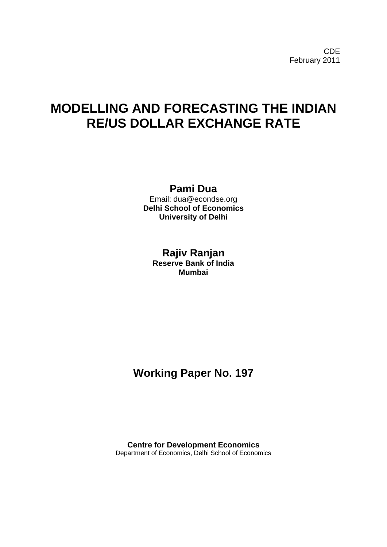CDE February 2011

# **MODELLING AND FORECASTING THE INDIAN RE/US DOLLAR EXCHANGE RATE**

## **Pami Dua**

Email: dua@econdse.org **Delhi School of Economics University of Delhi** 

## **Rajiv Ranjan**

**Reserve Bank of India Mumbai** 

## **Working Paper No. 197**

**Centre for Development Economics**  Department of Economics, Delhi School of Economics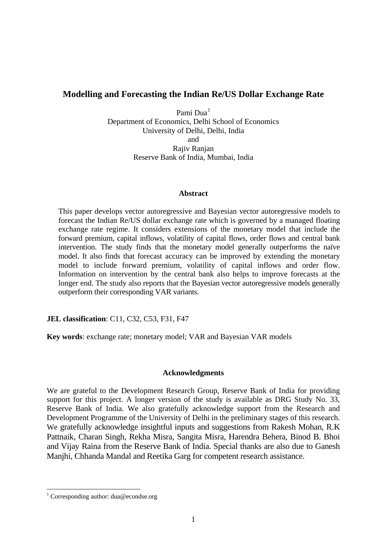## **Modelling and Forecasting the Indian Re/US Dollar Exchange Rate**

Pami Dua<sup>[1](#page-1-0)</sup> Department of Economics, Delhi School of Economics University of Delhi, Delhi, India and Rajiv Ranjan Reserve Bank of India, Mumbai, India

#### **Abstract**

This paper develops vector autoregressive and Bayesian vector autoregressive models to forecast the Indian Re/US dollar exchange rate which is governed by a managed floating exchange rate regime. It considers extensions of the monetary model that include the forward premium, capital inflows, volatility of capital flows, order flows and central bank intervention. The study finds that the monetary model generally outperforms the naïve model. It also finds that forecast accuracy can be improved by extending the monetary model to include forward premium, volatility of capital inflows and order flow. Information on intervention by the central bank also helps to improve forecasts at the longer end. The study also reports that the Bayesian vector autoregressive models generally outperform their corresponding VAR variants.

**JEL classification**: C11, C32, C53, F31, F47

**Key words**: exchange rate; monetary model; VAR and Bayesian VAR models

#### **Acknowledgments**

We are grateful to the Development Research Group, Reserve Bank of India for providing support for this project. A longer version of the study is available as DRG Study No. 33, Reserve Bank of India. We also gratefully acknowledge support from the Research and Development Programme of the University of Delhi in the preliminary stages of this research. We gratefully acknowledge insightful inputs and suggestions from Rakesh Mohan, R.K Pattnaik, Charan Singh, Rekha Misra, Sangita Misra, Harendra Behera, Binod B. Bhoi and Vijay Raina from the Reserve Bank of India. Special thanks are also due to Ganesh Manjhi, Chhanda Mandal and Reetika Garg for competent research assistance.

<span id="page-1-0"></span> <sup>1</sup> Corresponding author: dua@econdse.org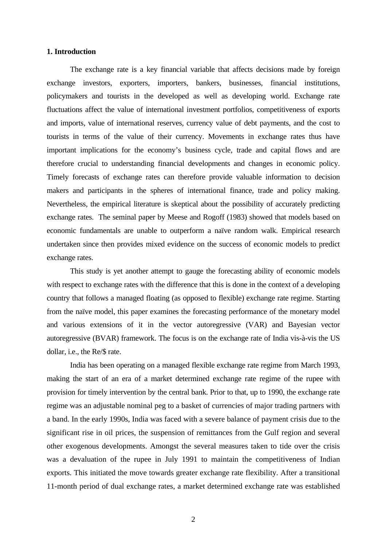#### **1. Introduction**

The exchange rate is a key financial variable that affects decisions made by foreign exchange investors, exporters, importers, bankers, businesses, financial institutions, policymakers and tourists in the developed as well as developing world. Exchange rate fluctuations affect the value of international investment portfolios, competitiveness of exports and imports, value of international reserves, currency value of debt payments, and the cost to tourists in terms of the value of their currency. Movements in exchange rates thus have important implications for the economy's business cycle, trade and capital flows and are therefore crucial to understanding financial developments and changes in economic policy. Timely forecasts of exchange rates can therefore provide valuable information to decision makers and participants in the spheres of international finance, trade and policy making. Nevertheless, the empirical literature is skeptical about the possibility of accurately predicting exchange rates. The seminal paper by Meese and Rogoff (1983) showed that models based on economic fundamentals are unable to outperform a naïve random walk. Empirical research undertaken since then provides mixed evidence on the success of economic models to predict exchange rates.

This study is yet another attempt to gauge the forecasting ability of economic models with respect to exchange rates with the difference that this is done in the context of a developing country that follows a managed floating (as opposed to flexible) exchange rate regime. Starting from the naïve model, this paper examines the forecasting performance of the monetary model and various extensions of it in the vector autoregressive (VAR) and Bayesian vector autoregressive (BVAR) framework. The focus is on the exchange rate of India vis-à-vis the US dollar, i.e., the Re/\$ rate.

India has been operating on a managed flexible exchange rate regime from March 1993, making the start of an era of a market determined exchange rate regime of the rupee with provision for timely intervention by the central bank. Prior to that, up to 1990, the exchange rate regime was an adjustable nominal peg to a basket of currencies of major trading partners with a band. In the early 1990s, India was faced with a severe balance of payment crisis due to the significant rise in oil prices, the suspension of remittances from the Gulf region and several other exogenous developments. Amongst the several measures taken to tide over the crisis was a devaluation of the rupee in July 1991 to maintain the competitiveness of Indian exports. This initiated the move towards greater exchange rate flexibility. After a transitional 11-month period of dual exchange rates, a market determined exchange rate was established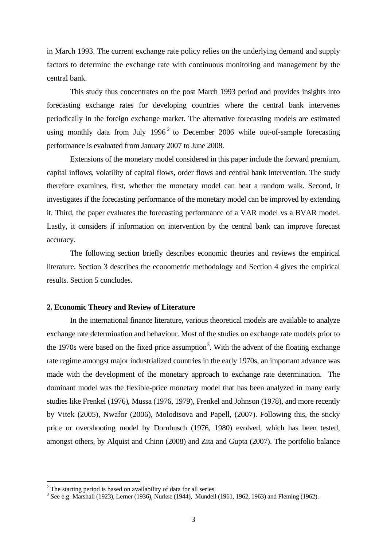in March 1993. The current exchange rate policy relies on the underlying demand and supply factors to determine the exchange rate with continuous monitoring and management by the central bank.

This study thus concentrates on the post March 1993 period and provides insights into forecasting exchange rates for developing countries where the central bank intervenes periodically in the foreign exchange market. The alternative forecasting models are estimated using monthly data from July  $1996<sup>2</sup>$  $1996<sup>2</sup>$  $1996<sup>2</sup>$  to December 2006 while out-of-sample forecasting performance is evaluated from January 2007 to June 2008.

Extensions of the monetary model considered in this paper include the forward premium, capital inflows, volatility of capital flows, order flows and central bank intervention. The study therefore examines, first, whether the monetary model can beat a random walk. Second, it investigates if the forecasting performance of the monetary model can be improved by extending it. Third, the paper evaluates the forecasting performance of a VAR model vs a BVAR model. Lastly, it considers if information on intervention by the central bank can improve forecast accuracy.

The following section briefly describes economic theories and reviews the empirical literature. Section 3 describes the econometric methodology and Section 4 gives the empirical results. Section 5 concludes.

#### **2. Economic Theory and Review of Literature**

In the international finance literature, various theoretical models are available to analyze exchange rate determination and behaviour. Most of the studies on exchange rate models prior to the 1970s were based on the fixed price assumption<sup>[3](#page-3-1)</sup>. With the advent of the floating exchange rate regime amongst major industrialized countries in the early 1970s, an important advance was made with the development of the monetary approach to exchange rate determination. The dominant model was the flexible-price monetary model that has been analyzed in many early studies like Frenkel (1976), Mussa (1976, 1979), Frenkel and Johnson (1978), and more recently by Vitek (2005), Nwafor (2006), Molodtsova and Papell, (2007). Following this, the sticky price or overshooting model by Dornbusch (1976, 1980) evolved, which has been tested, amongst others, by Alquist and Chinn (2008) and Zita and Gupta (2007). The portfolio balance

<span id="page-3-0"></span><sup>&</sup>lt;sup>2</sup> The starting period is based on availability of data for all series.

<span id="page-3-1"></span><sup>3</sup> See e.g. Marshall (1923), Lerner (1936), Nurkse (1944), Mundell (1961, 1962, 1963) and Fleming (1962).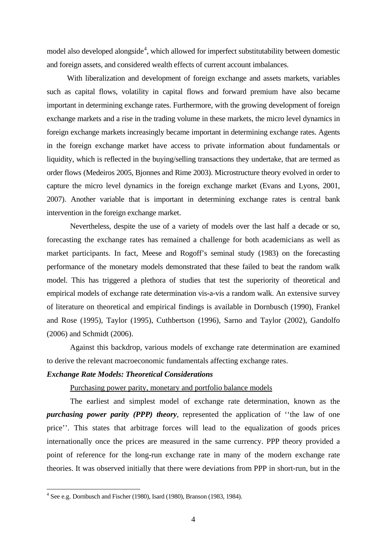model also developed alongside<sup>[4](#page-4-0)</sup>, which allowed for imperfect substitutability between domestic and foreign assets, and considered wealth effects of current account imbalances.

 With liberalization and development of foreign exchange and assets markets, variables such as capital flows, volatility in capital flows and forward premium have also became important in determining exchange rates. Furthermore, with the growing development of foreign exchange markets and a rise in the trading volume in these markets, the micro level dynamics in foreign exchange markets increasingly became important in determining exchange rates. Agents in the foreign exchange market have access to private information about fundamentals or liquidity, which is reflected in the buying/selling transactions they undertake, that are termed as order flows (Medeiros 2005, Bjonnes and Rime 2003). Microstructure theory evolved in order to capture the micro level dynamics in the foreign exchange market (Evans and Lyons, 2001, 2007). Another variable that is important in determining exchange rates is central bank intervention in the foreign exchange market.

 Nevertheless, despite the use of a variety of models over the last half a decade or so, forecasting the exchange rates has remained a challenge for both academicians as well as market participants. In fact, Meese and Rogoff's seminal study (1983) on the forecasting performance of the monetary models demonstrated that these failed to beat the random walk model. This has triggered a plethora of studies that test the superiority of theoretical and empirical models of exchange rate determination vis-a-vis a random walk. An extensive survey of literature on theoretical and empirical findings is available in Dornbusch (1990), Frankel and Rose (1995), Taylor (1995), Cuthbertson (1996), Sarno and Taylor (2002), Gandolfo (2006) and Schmidt (2006).

Against this backdrop, various models of exchange rate determination are examined to derive the relevant macroeconomic fundamentals affecting exchange rates.

#### *Exchange Rate Models: Theoretical Considerations*

#### Purchasing power parity, monetary and portfolio balance models

The earliest and simplest model of exchange rate determination, known as the *purchasing power parity (PPP) theory*, represented the application of ''the law of one price''. This states that arbitrage forces will lead to the equalization of goods prices internationally once the prices are measured in the same currency. PPP theory provided a point of reference for the long-run exchange rate in many of the modern exchange rate theories. It was observed initially that there were deviations from PPP in short-run, but in the

<span id="page-4-0"></span> <sup>4</sup> See e.g. Dornbusch and Fischer (1980), Isard (1980), Branson (1983, 1984).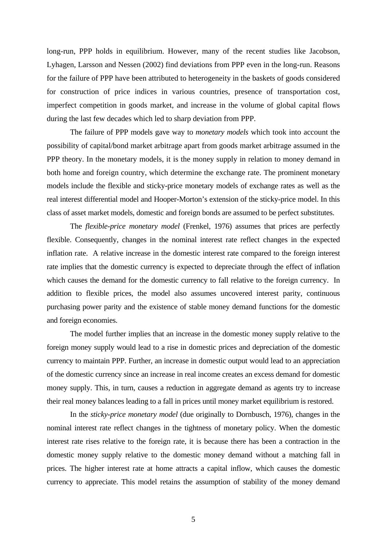long-run, PPP holds in equilibrium. However, many of the recent studies like Jacobson, Lyhagen, Larsson and Nessen (2002) find deviations from PPP even in the long-run. Reasons for the failure of PPP have been attributed to heterogeneity in the baskets of goods considered for construction of price indices in various countries, presence of transportation cost, imperfect competition in goods market, and increase in the volume of global capital flows during the last few decades which led to sharp deviation from PPP.

The failure of PPP models gave way to *monetary models* which took into account the possibility of capital/bond market arbitrage apart from goods market arbitrage assumed in the PPP theory. In the monetary models, it is the money supply in relation to money demand in both home and foreign country, which determine the exchange rate. The prominent monetary models include the flexible and sticky-price monetary models of exchange rates as well as the real interest differential model and Hooper-Morton's extension of the sticky-price model. In this class of asset market models, domestic and foreign bonds are assumed to be perfect substitutes.

The *flexible-price monetary model* (Frenkel, 1976) assumes that prices are perfectly flexible. Consequently, changes in the nominal interest rate reflect changes in the expected inflation rate. A relative increase in the domestic interest rate compared to the foreign interest rate implies that the domestic currency is expected to depreciate through the effect of inflation which causes the demand for the domestic currency to fall relative to the foreign currency. In addition to flexible prices, the model also assumes uncovered interest parity, continuous purchasing power parity and the existence of stable money demand functions for the domestic and foreign economies.

The model further implies that an increase in the domestic money supply relative to the foreign money supply would lead to a rise in domestic prices and depreciation of the domestic currency to maintain PPP. Further, an increase in domestic output would lead to an appreciation of the domestic currency since an increase in real income creates an excess demand for domestic money supply. This, in turn, causes a reduction in aggregate demand as agents try to increase their real money balances leading to a fall in prices until money market equilibrium is restored.

In the *sticky-price monetary model* (due originally to Dornbusch, 1976), changes in the nominal interest rate reflect changes in the tightness of monetary policy. When the domestic interest rate rises relative to the foreign rate, it is because there has been a contraction in the domestic money supply relative to the domestic money demand without a matching fall in prices. The higher interest rate at home attracts a capital inflow, which causes the domestic currency to appreciate. This model retains the assumption of stability of the money demand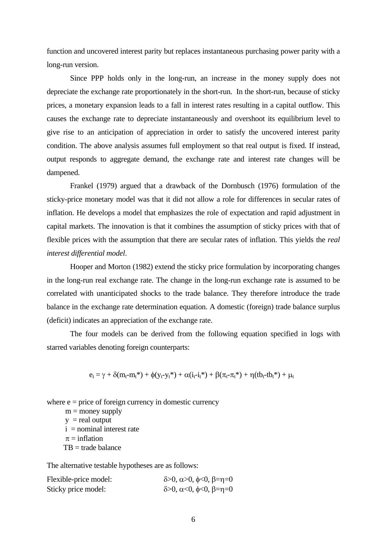function and uncovered interest parity but replaces instantaneous purchasing power parity with a long-run version.

Since PPP holds only in the long-run, an increase in the money supply does not depreciate the exchange rate proportionately in the short-run. In the short-run, because of sticky prices, a monetary expansion leads to a fall in interest rates resulting in a capital outflow. This causes the exchange rate to depreciate instantaneously and overshoot its equilibrium level to give rise to an anticipation of appreciation in order to satisfy the uncovered interest parity condition. The above analysis assumes full employment so that real output is fixed. If instead, output responds to aggregate demand, the exchange rate and interest rate changes will be dampened.

Frankel (1979) argued that a drawback of the Dornbusch (1976) formulation of the sticky-price monetary model was that it did not allow a role for differences in secular rates of inflation. He develops a model that emphasizes the role of expectation and rapid adjustment in capital markets. The innovation is that it combines the assumption of sticky prices with that of flexible prices with the assumption that there are secular rates of inflation. This yields the *real interest differential model*.

Hooper and Morton (1982) extend the sticky price formulation by incorporating changes in the long-run real exchange rate. The change in the long-run exchange rate is assumed to be correlated with unanticipated shocks to the trade balance. They therefore introduce the trade balance in the exchange rate determination equation. A domestic (foreign) trade balance surplus (deficit) indicates an appreciation of the exchange rate.

The four models can be derived from the following equation specified in logs with starred variables denoting foreign counterparts:

$$
e_t = \gamma + \delta(m_t\text{-}m_t\text{*}) + \varphi(y_t\text{-}y_t\text{*}) + \alpha(i_t\text{-}i_t\text{*}) + \beta(\pi_t\text{-}\pi_t\text{*}) + \eta(tb_t\text{-}tb_t\text{*}) + \mu_t
$$

where  $e = price$  of foreign currency in domestic currency

 $m =$  money supply

 $y =$  real output  $i =$  nominal interest rate  $\pi$  = inflation

 $TB = trade balance$ 

The alternative testable hypotheses are as follows:

| Flexible-price model: | $\delta > 0$ , α $> 0$ , φ<0, β=η=0 |
|-----------------------|-------------------------------------|
| Sticky price model:   | $\delta > 0$ , α<0, φ<0, β=η=0      |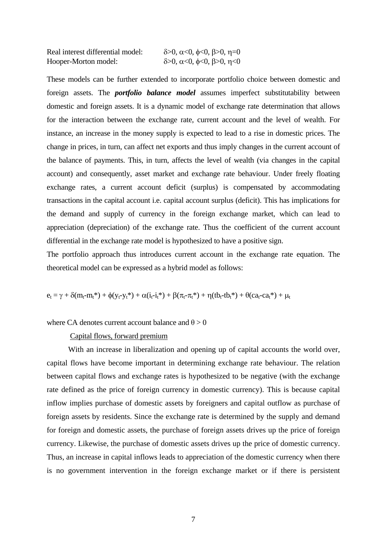Real interest differential model:  $\delta > 0$ ,  $\alpha < 0$ ,  $\phi < 0$ ,  $\beta > 0$ ,  $\eta = 0$ Hooper-Morton model:  $\delta > 0$ ,  $\alpha < 0$ ,  $\phi < 0$ ,  $\beta > 0$ ,  $\eta < 0$ 

These models can be further extended to incorporate portfolio choice between domestic and foreign assets. The *portfolio balance model* assumes imperfect substitutability between domestic and foreign assets. It is a dynamic model of exchange rate determination that allows for the interaction between the exchange rate, current account and the level of wealth. For instance, an increase in the money supply is expected to lead to a rise in domestic prices. The change in prices, in turn, can affect net exports and thus imply changes in the current account of the balance of payments. This, in turn, affects the level of wealth (via changes in the capital account) and consequently, asset market and exchange rate behaviour. Under freely floating exchange rates, a current account deficit (surplus) is compensated by accommodating transactions in the capital account i.e. capital account surplus (deficit). This has implications for the demand and supply of currency in the foreign exchange market, which can lead to appreciation (depreciation) of the exchange rate. Thus the coefficient of the current account differential in the exchange rate model is hypothesized to have a positive sign.

The portfolio approach thus introduces current account in the exchange rate equation. The theoretical model can be expressed as a hybrid model as follows:

$$
e_t = \gamma + \delta(m_t\text{-}m_t*) + \varphi(y_t\text{-}y_t*) + \alpha(i_t\text{-}i_t*) + \beta(\pi_t\text{-}\pi_t*) + \eta(tb_t\text{-}tb_t*) + \theta(ca_t\text{-}ca_t*) + \mu_t
$$

#### where CA denotes current account balance and  $\theta > 0$

Capital flows, forward premium

 With an increase in liberalization and opening up of capital accounts the world over, capital flows have become important in determining exchange rate behaviour. The relation between capital flows and exchange rates is hypothesized to be negative (with the exchange rate defined as the price of foreign currency in domestic currency). This is because capital inflow implies purchase of domestic assets by foreigners and capital outflow as purchase of foreign assets by residents. Since the exchange rate is determined by the supply and demand for foreign and domestic assets, the purchase of foreign assets drives up the price of foreign currency. Likewise, the purchase of domestic assets drives up the price of domestic currency. Thus, an increase in capital inflows leads to appreciation of the domestic currency when there is no government intervention in the foreign exchange market or if there is persistent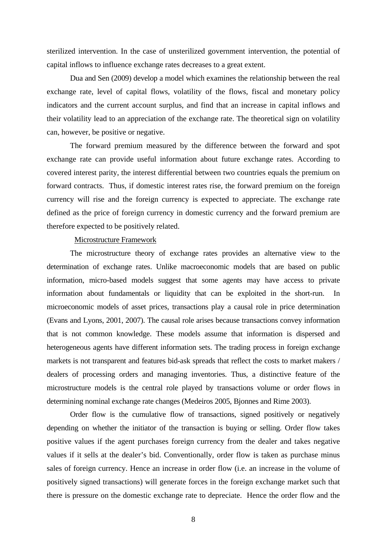sterilized intervention. In the case of unsterilized government intervention, the potential of capital inflows to influence exchange rates decreases to a great extent.

 Dua and Sen (2009) develop a model which examines the relationship between the real exchange rate, level of capital flows, volatility of the flows, fiscal and monetary policy indicators and the current account surplus, and find that an increase in capital inflows and their volatility lead to an appreciation of the exchange rate. The theoretical sign on volatility can, however, be positive or negative.

The forward premium measured by the difference between the forward and spot exchange rate can provide useful information about future exchange rates. According to covered interest parity, the interest differential between two countries equals the premium on forward contracts. Thus, if domestic interest rates rise, the forward premium on the foreign currency will rise and the foreign currency is expected to appreciate. The exchange rate defined as the price of foreign currency in domestic currency and the forward premium are therefore expected to be positively related.

#### Microstructure Framework

The microstructure theory of exchange rates provides an alternative view to the determination of exchange rates. Unlike macroeconomic models that are based on public information, micro-based models suggest that some agents may have access to private information about fundamentals or liquidity that can be exploited in the short-run. In microeconomic models of asset prices, transactions play a causal role in price determination (Evans and Lyons, 2001, 2007). The causal role arises because transactions convey information that is not common knowledge. These models assume that information is dispersed and heterogeneous agents have different information sets. The trading process in foreign exchange markets is not transparent and features bid-ask spreads that reflect the costs to market makers / dealers of processing orders and managing inventories. Thus, a distinctive feature of the microstructure models is the central role played by transactions volume or order flows in determining nominal exchange rate changes (Medeiros 2005, Bjonnes and Rime 2003).

Order flow is the cumulative flow of transactions, signed positively or negatively depending on whether the initiator of the transaction is buying or selling. Order flow takes positive values if the agent purchases foreign currency from the dealer and takes negative values if it sells at the dealer's bid. Conventionally, order flow is taken as purchase minus sales of foreign currency. Hence an increase in order flow (i.e. an increase in the volume of positively signed transactions) will generate forces in the foreign exchange market such that there is pressure on the domestic exchange rate to depreciate. Hence the order flow and the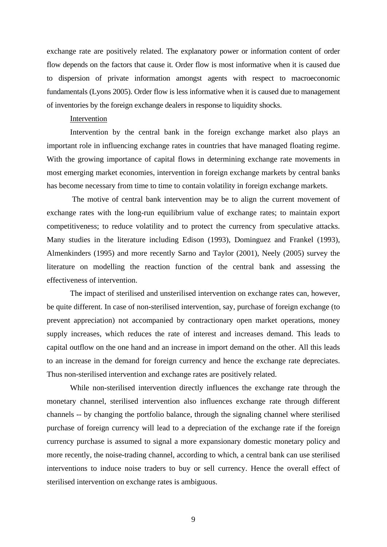exchange rate are positively related. The explanatory power or information content of order flow depends on the factors that cause it. Order flow is most informative when it is caused due to dispersion of private information amongst agents with respect to macroeconomic fundamentals (Lyons 2005). Order flow is less informative when it is caused due to management of inventories by the foreign exchange dealers in response to liquidity shocks.

#### Intervention

Intervention by the central bank in the foreign exchange market also plays an important role in influencing exchange rates in countries that have managed floating regime. With the growing importance of capital flows in determining exchange rate movements in most emerging market economies, intervention in foreign exchange markets by central banks has become necessary from time to time to contain volatility in foreign exchange markets.

 The motive of central bank intervention may be to align the current movement of exchange rates with the long-run equilibrium value of exchange rates; to maintain export competitiveness; to reduce volatility and to protect the currency from speculative attacks. Many studies in the literature including Edison (1993), Dominguez and Frankel (1993), Almenkinders (1995) and more recently Sarno and Taylor (2001), Neely (2005) survey the literature on modelling the reaction function of the central bank and assessing the effectiveness of intervention.

 The impact of sterilised and unsterilised intervention on exchange rates can, however, be quite different. In case of non-sterilised intervention, say, purchase of foreign exchange (to prevent appreciation) not accompanied by contractionary open market operations, money supply increases, which reduces the rate of interest and increases demand. This leads to capital outflow on the one hand and an increase in import demand on the other. All this leads to an increase in the demand for foreign currency and hence the exchange rate depreciates. Thus non-sterilised intervention and exchange rates are positively related.

While non-sterilised intervention directly influences the exchange rate through the monetary channel, sterilised intervention also influences exchange rate through different channels -- by changing the portfolio balance, through the signaling channel where sterilised purchase of foreign currency will lead to a depreciation of the exchange rate if the foreign currency purchase is assumed to signal a more expansionary domestic monetary policy and more recently, the noise-trading channel, according to which, a central bank can use sterilised interventions to induce noise traders to buy or sell currency. Hence the overall effect of sterilised intervention on exchange rates is ambiguous.

9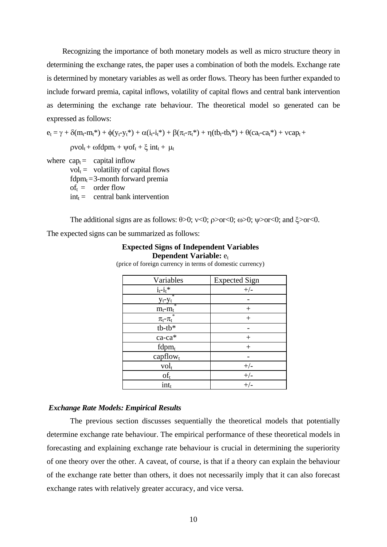Recognizing the importance of both monetary models as well as micro structure theory in determining the exchange rates, the paper uses a combination of both the models. Exchange rate is determined by monetary variables as well as order flows. Theory has been further expanded to include forward premia, capital inflows, volatility of capital flows and central bank intervention as determining the exchange rate behaviour. The theoretical model so generated can be expressed as follows:

 $e_t = \gamma + \delta(m_t-m_t^*) + \phi(y_t-y_t^*) + \alpha(i_t-i_t^*) + \beta(\pi_t-\pi_t^*) + \eta(tb_t\text{-}tb_t^*) + \theta(ca_t\text{-}ca_t^*) + \text{vcap}_t +$ 

 $pvol_t + \omega f dpm_t + \psi of_t + \xi int_t + \mu_t$ 

- where  $cap_t =$  capital inflow
	- $vol_t =$  volatility of capital flows
	- fdpm $_t = 3$ -month forward premia
	- $of_t = \text{order flow}$
	- $\text{int}_{t} = \text{central bank intervention}$

The additional signs are as follows:  $\theta > 0$ ;  $\nu < 0$ ;  $\rho > \alpha < 0$ ;  $\omega > 0$ ;  $\nu > \alpha < 0$ ; and  $\xi > \alpha < 0$ .

The expected signs can be summarized as follows:

#### **Expected Signs of Independent Variables Dependent Variable:**  $e_t$

(price of foreign currency in terms of domestic currency)

| Variables         | <b>Expected Sign</b> |
|-------------------|----------------------|
| $i_t - i_t$ *     | $+/-$                |
| ÷<br>$y_t - y_t$  |                      |
| $m_t$ - $m_t$     | $^{+}$               |
| $\pi_t$ - $\pi_t$ | $^{+}$               |
| $tb$ - $tb*$      |                      |
| $ca$ -ca $*$      |                      |
| $fdpm_t$          | $^{+}$               |
| capflow           |                      |
| $vol_t$           | $+/-$                |
| $of_t$            | $+/-$                |
| $int_{t}$         | $+/-$                |

#### *Exchange Rate Models: Empirical Results*

 The previous section discusses sequentially the theoretical models that potentially determine exchange rate behaviour. The empirical performance of these theoretical models in forecasting and explaining exchange rate behaviour is crucial in determining the superiority of one theory over the other. A caveat, of course, is that if a theory can explain the behaviour of the exchange rate better than others, it does not necessarily imply that it can also forecast exchange rates with relatively greater accuracy, and vice versa.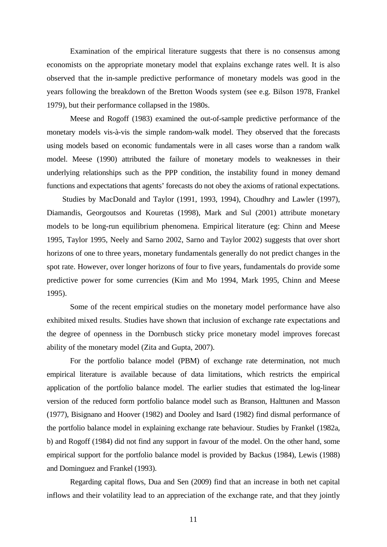Examination of the empirical literature suggests that there is no consensus among economists on the appropriate monetary model that explains exchange rates well. It is also observed that the in-sample predictive performance of monetary models was good in the years following the breakdown of the Bretton Woods system (see e.g. Bilson 1978, Frankel 1979), but their performance collapsed in the 1980s.

 Meese and Rogoff (1983) examined the out-of-sample predictive performance of the monetary models vis-à-vis the simple random-walk model. They observed that the forecasts using models based on economic fundamentals were in all cases worse than a random walk model. Meese (1990) attributed the failure of monetary models to weaknesses in their underlying relationships such as the PPP condition, the instability found in money demand functions and expectations that agents' forecasts do not obey the axioms of rational expectations.

 Studies by MacDonald and Taylor (1991, 1993, 1994), Choudhry and Lawler (1997), Diamandis, Georgoutsos and Kouretas (1998), Mark and Sul (2001) attribute monetary models to be long-run equilibrium phenomena. Empirical literature (eg: Chinn and Meese 1995, Taylor 1995, Neely and Sarno 2002, Sarno and Taylor 2002) suggests that over short horizons of one to three years, monetary fundamentals generally do not predict changes in the spot rate. However, over longer horizons of four to five years, fundamentals do provide some predictive power for some currencies (Kim and Mo 1994, Mark 1995, Chinn and Meese 1995).

 Some of the recent empirical studies on the monetary model performance have also exhibited mixed results. Studies have shown that inclusion of exchange rate expectations and the degree of openness in the Dornbusch sticky price monetary model improves forecast ability of the monetary model (Zita and Gupta, 2007).

For the portfolio balance model (PBM) of exchange rate determination, not much empirical literature is available because of data limitations, which restricts the empirical application of the portfolio balance model. The earlier studies that estimated the log-linear version of the reduced form portfolio balance model such as Branson, Halttunen and Masson (1977), Bisignano and Hoover (1982) and Dooley and Isard (1982) find dismal performance of the portfolio balance model in explaining exchange rate behaviour. Studies by Frankel (1982a, b) and Rogoff (1984) did not find any support in favour of the model. On the other hand, some empirical support for the portfolio balance model is provided by Backus (1984), Lewis (1988) and Dominguez and Frankel (1993).

Regarding capital flows, Dua and Sen (2009) find that an increase in both net capital inflows and their volatility lead to an appreciation of the exchange rate, and that they jointly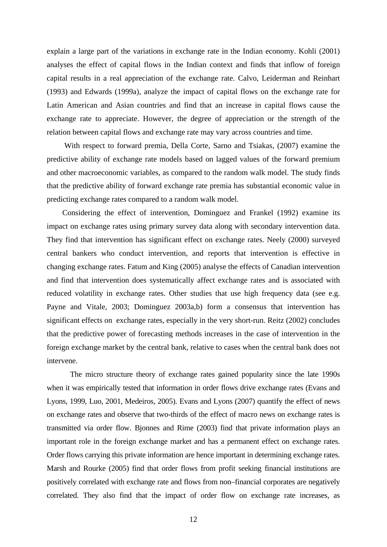explain a large part of the variations in exchange rate in the Indian economy. Kohli (2001) analyses the effect of capital flows in the Indian context and finds that inflow of foreign capital results in a real appreciation of the exchange rate. Calvo, Leiderman and Reinhart (1993) and Edwards (1999a), analyze the impact of capital flows on the exchange rate for Latin American and Asian countries and find that an increase in capital flows cause the exchange rate to appreciate. However, the degree of appreciation or the strength of the relation between capital flows and exchange rate may vary across countries and time.

 With respect to forward premia, Della Corte, Sarno and Tsiakas, (2007) examine the predictive ability of exchange rate models based on lagged values of the forward premium and other macroeconomic variables, as compared to the random walk model. The study finds that the predictive ability of forward exchange rate premia has substantial economic value in predicting exchange rates compared to a random walk model.

 Considering the effect of intervention, Dominguez and Frankel (1992) examine its impact on exchange rates using primary survey data along with secondary intervention data. They find that intervention has significant effect on exchange rates. Neely (2000) surveyed central bankers who conduct intervention, and reports that intervention is effective in changing exchange rates. Fatum and King (2005) analyse the effects of Canadian intervention and find that intervention does systematically affect exchange rates and is associated with reduced volatility in exchange rates. Other studies that use high frequency data (see e.g. Payne and Vitale, 2003; Dominguez 2003a,b) form a consensus that intervention has significant effects on exchange rates, especially in the very short-run. Reitz (2002) concludes that the predictive power of forecasting methods increases in the case of intervention in the foreign exchange market by the central bank, relative to cases when the central bank does not intervene.

The micro structure theory of exchange rates gained popularity since the late 1990s when it was empirically tested that information in order flows drive exchange rates (Evans and Lyons, 1999, Luo, 2001, Medeiros, 2005). Evans and Lyons (2007) quantify the effect of news on exchange rates and observe that two-thirds of the effect of macro news on exchange rates is transmitted via order flow. Bjonnes and Rime (2003) find that private information plays an important role in the foreign exchange market and has a permanent effect on exchange rates. Order flows carrying this private information are hence important in determining exchange rates. Marsh and Rourke (2005) find that order flows from profit seeking financial institutions are positively correlated with exchange rate and flows from non–financial corporates are negatively correlated. They also find that the impact of order flow on exchange rate increases, as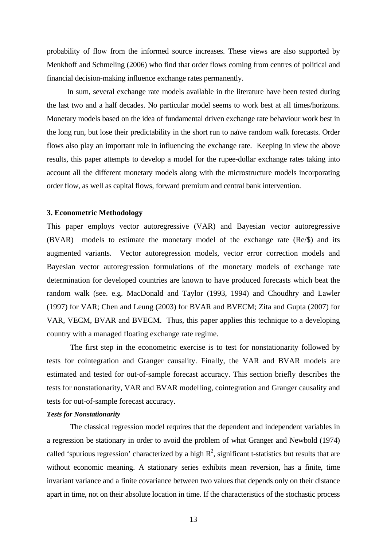probability of flow from the informed source increases. These views are also supported by Menkhoff and Schmeling (2006) who find that order flows coming from centres of political and financial decision-making influence exchange rates permanently.

 In sum, several exchange rate models available in the literature have been tested during the last two and a half decades. No particular model seems to work best at all times/horizons. Monetary models based on the idea of fundamental driven exchange rate behaviour work best in the long run, but lose their predictability in the short run to naïve random walk forecasts. Order flows also play an important role in influencing the exchange rate. Keeping in view the above results, this paper attempts to develop a model for the rupee-dollar exchange rates taking into account all the different monetary models along with the microstructure models incorporating order flow, as well as capital flows, forward premium and central bank intervention.

#### **3. Econometric Methodology**

This paper employs vector autoregressive (VAR) and Bayesian vector autoregressive (BVAR) models to estimate the monetary model of the exchange rate (Re/\$) and its augmented variants. Vector autoregression models, vector error correction models and Bayesian vector autoregression formulations of the monetary models of exchange rate determination for developed countries are known to have produced forecasts which beat the random walk (see. e.g. MacDonald and Taylor (1993, 1994) and Choudhry and Lawler (1997) for VAR; Chen and Leung (2003) for BVAR and BVECM; Zita and Gupta (2007) for VAR, VECM, BVAR and BVECM. Thus, this paper applies this technique to a developing country with a managed floating exchange rate regime.

The first step in the econometric exercise is to test for nonstationarity followed by tests for cointegration and Granger causality. Finally, the VAR and BVAR models are estimated and tested for out-of-sample forecast accuracy. This section briefly describes the tests for nonstationarity, VAR and BVAR modelling, cointegration and Granger causality and tests for out-of-sample forecast accuracy.

#### *Tests for Nonstationarity*

The classical regression model requires that the dependent and independent variables in a regression be stationary in order to avoid the problem of what Granger and Newbold (1974) called 'spurious regression' characterized by a high  $R^2$ , significant t-statistics but results that are without economic meaning. A stationary series exhibits mean reversion, has a finite, time invariant variance and a finite covariance between two values that depends only on their distance apart in time, not on their absolute location in time. If the characteristics of the stochastic process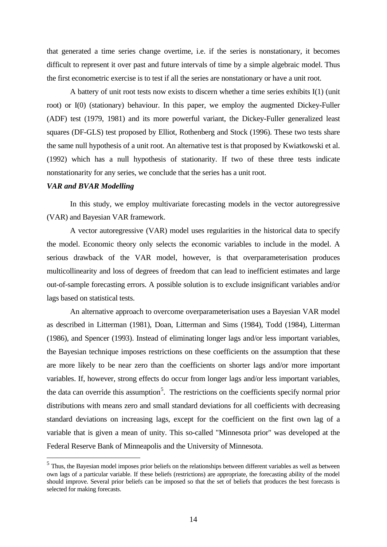that generated a time series change overtime, i.e. if the series is nonstationary, it becomes difficult to represent it over past and future intervals of time by a simple algebraic model. Thus the first econometric exercise is to test if all the series are nonstationary or have a unit root.

A battery of unit root tests now exists to discern whether a time series exhibits I(1) (unit root) or I(0) (stationary) behaviour. In this paper, we employ the augmented Dickey-Fuller (ADF) test (1979, 1981) and its more powerful variant, the Dickey-Fuller generalized least squares (DF-GLS) test proposed by Elliot, Rothenberg and Stock (1996). These two tests share the same null hypothesis of a unit root. An alternative test is that proposed by Kwiatkowski et al. (1992) which has a null hypothesis of stationarity. If two of these three tests indicate nonstationarity for any series, we conclude that the series has a unit root.

#### *VAR and BVAR Modelling*

In this study, we employ multivariate forecasting models in the vector autoregressive (VAR) and Bayesian VAR framework.

A vector autoregressive (VAR) model uses regularities in the historical data to specify the model. Economic theory only selects the economic variables to include in the model. A serious drawback of the VAR model, however, is that overparameterisation produces multicollinearity and loss of degrees of freedom that can lead to inefficient estimates and large out-of-sample forecasting errors. A possible solution is to exclude insignificant variables and/or lags based on statistical tests.

An alternative approach to overcome overparameterisation uses a Bayesian VAR model as described in Litterman (1981), Doan, Litterman and Sims (1984), Todd (1984), Litterman (1986), and Spencer (1993). Instead of eliminating longer lags and/or less important variables, the Bayesian technique imposes restrictions on these coefficients on the assumption that these are more likely to be near zero than the coefficients on shorter lags and/or more important variables. If, however, strong effects do occur from longer lags and/or less important variables, the data can override this assumption<sup>[5](#page-14-0)</sup>. The restrictions on the coefficients specify normal prior distributions with means zero and small standard deviations for all coefficients with decreasing standard deviations on increasing lags, except for the coefficient on the first own lag of a variable that is given a mean of unity. This so-called "Minnesota prior" was developed at the Federal Reserve Bank of Minneapolis and the University of Minnesota.

<span id="page-14-0"></span> $<sup>5</sup>$  Thus, the Bayesian model imposes prior beliefs on the relationships between different variables as well as between</sup> own lags of a particular variable. If these beliefs (restrictions) are appropriate, the forecasting ability of the model should improve. Several prior beliefs can be imposed so that the set of beliefs that produces the best forecasts is selected for making forecasts.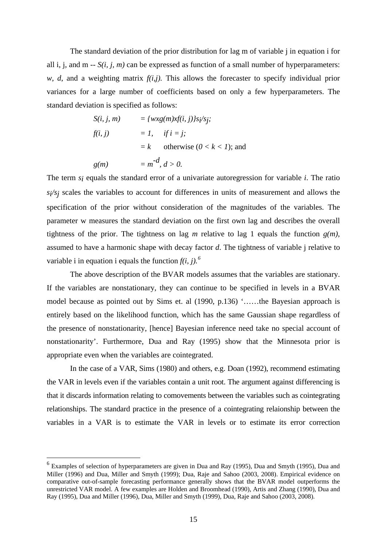The standard deviation of the prior distribution for lag m of variable j in equation i for all i, j, and m --  $S(i, j, m)$  can be expressed as function of a small number of hyperparameters: *w*, *d*, and a weighting matrix  $f(i,j)$ . This allows the forecaster to specify individual prior variances for a large number of coefficients based on only a few hyperparameters. The standard deviation is specified as follows:

$$
S(i, j, m) = \{wxg(m)xf(i, j)\}s_i\prime s_j;
$$
  
\n
$$
f(i, j) = 1, \quad if \ i = j;
$$
  
\n
$$
= k \quad \text{otherwise } (0 < k < 1); \text{ and }
$$
  
\n
$$
g(m) = m^{-d}, \ d > 0.
$$

The term *si* equals the standard error of a univariate autoregression for variable *i*. The ratio *si/sj* scales the variables to account for differences in units of measurement and allows the specification of the prior without consideration of the magnitudes of the variables. The parameter w measures the standard deviation on the first own lag and describes the overall tightness of the prior. The tightness on lag *m* relative to lag 1 equals the function *g(m)*, assumed to have a harmonic shape with decay factor *d*. The tightness of variable j relative to variable i in equation i equals the function  $f(i, i)$ .<sup>[6](#page-15-0)</sup>

The above description of the BVAR models assumes that the variables are stationary. If the variables are nonstationary, they can continue to be specified in levels in a BVAR model because as pointed out by Sims et. al (1990, p.136) '……the Bayesian approach is entirely based on the likelihood function, which has the same Gaussian shape regardless of the presence of nonstationarity, [hence] Bayesian inference need take no special account of nonstationarity'. Furthermore, Dua and Ray (1995) show that the Minnesota prior is appropriate even when the variables are cointegrated.

In the case of a VAR, Sims (1980) and others, e.g. Doan (1992), recommend estimating the VAR in levels even if the variables contain a unit root. The argument against differencing is that it discards information relating to comovements between the variables such as cointegrating relationships. The standard practice in the presence of a cointegrating relaionship between the variables in a VAR is to estimate the VAR in levels or to estimate its error correction

<span id="page-15-0"></span> $6$  Examples of selection of hyperparameters are given in Dua and Ray (1995), Dua and Smyth (1995), Dua and Miller (1996) and Dua, Miller and Smyth (1999); Dua, Raje and Sahoo (2003, 2008). Empirical evidence on comparative out-of-sample forecasting performance generally shows that the BVAR model outperforms the unrestricted VAR model. A few examples are Holden and Broomhead (1990), Artis and Zhang (1990), Dua and Ray (1995), Dua and Miller (1996), Dua, Miller and Smyth (1999), Dua, Raje and Sahoo (2003, 2008).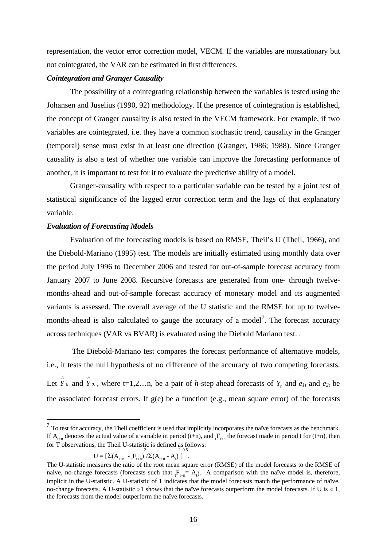representation, the vector error correction model, VECM. If the variables are nonstationary but not cointegrated, the VAR can be estimated in first differences.

#### *Cointegration and Granger Causality*

The possibility of a cointegrating relationship between the variables is tested using the Johansen and Juselius (1990, 92) methodology. If the presence of cointegration is established, the concept of Granger causality is also tested in the VECM framework. For example, if two variables are cointegrated, i.e. they have a common stochastic trend, causality in the Granger (temporal) sense must exist in at least one direction (Granger, 1986; 1988). Since Granger causality is also a test of whether one variable can improve the forecasting performance of another, it is important to test for it to evaluate the predictive ability of a model.

Granger-causality with respect to a particular variable can be tested by a joint test of statistical significance of the lagged error correction term and the lags of that explanatory variable.

#### *Evaluation of Forecasting Models*

Evaluation of the forecasting models is based on RMSE, Theil's U (Theil, 1966), and the Diebold-Mariano (1995) test. The models are initially estimated using monthly data over the period July 1996 to December 2006 and tested for out-of-sample forecast accuracy from January 2007 to June 2008. Recursive forecasts are generated from one- through twelvemonths-ahead and out-of-sample forecast accuracy of monetary model and its augmented variants is assessed. The overall average of the U statistic and the RMSE for up to twelve-months-ahead is also calculated to gauge the accuracy of a model<sup>[7](#page-16-0)</sup>. The forecast accuracy across techniques (VAR vs BVAR) is evaluated using the Diebold Mariano test. .

The Diebold-Mariano test compares the forecast performance of alternative models, i.e., it tests the null hypothesis of no difference of the accuracy of two competing forecasts. Let  $\hat{Y}_{1t}$  and  $\hat{Y}_{2t}$ , where t=1,2…n, be a pair of *h*-step ahead forecasts of  $Y_t$  and  $e_{1t}$  and  $e_{2t}$  be the associated forecast errors. If g(e) be a function (e.g., mean square error) of the forecasts

$$
U = \left[\sum (A_{t+n} - {}_{t}F_{t+n})^{2} / \sum (A_{t+n} - A_{t})^{2} \right]^{2.0.5}.
$$

<span id="page-16-0"></span> $<sup>7</sup>$  To test for accuracy, the Theil coefficient is used that implicitly incorporates the naïve forecasts as the benchmark.</sup> If  $A_{t+n}$  denotes the actual value of a variable in period (t+n), and  $F_{t+n}$  the forecast made in period t for (t+n), then for T observations, the Theil U-statistic is defined as follows:

The U-statistic measures the ratio of the root mean square error (RMSE) of the model forecasts to the RMSE of naive, no-change forecasts (forecasts such that  $F_{t+n} = A_t$ ). A comparison with the naïve model is, therefore, implicit in the U-statistic. A U-statistic of 1 indicates that the model forecasts match the performance of naïve, no-change forecasts. A U-statistic  $>1$  shows that the naïve forecasts outperform the model forecasts. If U is  $< 1$ , the forecasts from the model outperform the naïve forecasts.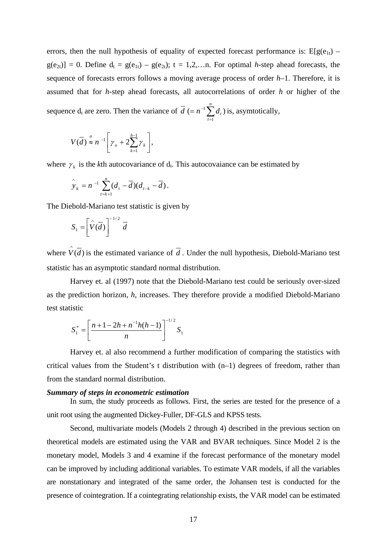errors, then the null hypothesis of equality of expected forecast performance is:  $E[g(e_{1t})$  $g(e_{2t})$ ] = 0. Define  $d_t = g(e_{1t}) - g(e_{2t})$ ; t = 1,2,...n. For optimal *h*-step ahead forecasts, the sequence of forecasts errors follows a moving average process of order *h*–1. Therefore, it is assumed that for *h*-step ahead forecasts, all autocorrelations of order *h* or higher of the sequence  $d_t$  are zero. Then the variance of  $\overline{d}$  (=  $n^{-1} \sum_{t=1}^{n}$ *t*  $d \left(= n^{-1} \sum d_i \right)$ 1  $(= n^{-1} \sum d_i)$  is, asymtotically,

$$
V(\overline{d}) \stackrel{a}{\approx} n^{-1} \left[ \gamma_o + 2 \sum_{k=1}^{h-1} \gamma_k \right],
$$

where  $\gamma_k$  is the *k*th autocovariance of  $d_t$ . This autocovaiance can be estimated by

$$
\hat{y}_k = n^{-1} \sum_{t=k+1}^n (d_t - \overline{d})(d_{t-k} - \overline{d}).
$$

The Diebold-Mariano test statistic is given by

$$
S_1 = \left[\hat{V}(\overline{d})\right]^{-1/2} \overline{d}
$$

where  $\hat{V}(\vec{d})$  is the estimated variance of  $\vec{d}$ . Under the null hypothesis, Diebold-Mariano test statistic has an asymptotic standard normal distribution.

Harvey et. al (1997) note that the Diebold-Mariano test could be seriously over-sized as the prediction horizon, *h*, increases. They therefore provide a modified Diebold-Mariano test statistic

$$
S_1^* = \left[\frac{n+1-2h+n^{-1}h(h-1)}{n}\right]^{-1/2}S_1
$$

Harvey et. al also recommend a further modification of comparing the statistics with critical values from the Student's t distribution with (n–1) degrees of freedom, rather than from the standard normal distribution.

#### *Summary of steps in econometric estimation*

In sum, the study proceeds as follows. First, the series are tested for the presence of a unit root using the augmented Dickey-Fuller, DF-GLS and KPSS tests.

Second, multivariate models (Models 2 through 4) described in the previous section on theoretical models are estimated using the VAR and BVAR techniques. Since Model 2 is the monetary model, Models 3 and 4 examine if the forecast performance of the monetary model can be improved by including additional variables. To estimate VAR models, if all the variables are nonstationary and integrated of the same order, the Johansen test is conducted for the presence of cointegration. If a cointegrating relationship exists, the VAR model can be estimated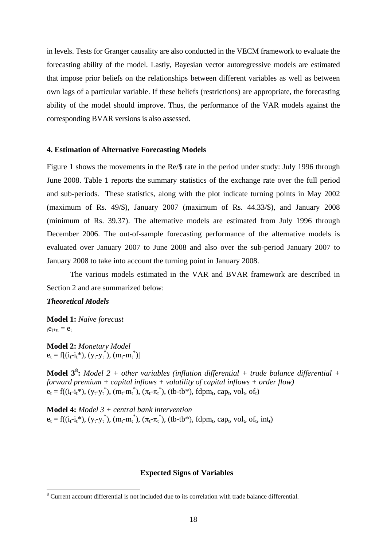in levels. Tests for Granger causality are also conducted in the VECM framework to evaluate the forecasting ability of the model. Lastly, Bayesian vector autoregressive models are estimated that impose prior beliefs on the relationships between different variables as well as between own lags of a particular variable. If these beliefs (restrictions) are appropriate, the forecasting ability of the model should improve. Thus, the performance of the VAR models against the corresponding BVAR versions is also assessed.

#### **4. Estimation of Alternative Forecasting Models**

Figure 1 shows the movements in the Re/\$ rate in the period under study: July 1996 through June 2008. Table 1 reports the summary statistics of the exchange rate over the full period and sub-periods. These statistics, along with the plot indicate turning points in May 2002 (maximum of Rs. 49/\$), January 2007 (maximum of Rs. 44.33/\$), and January 2008 (minimum of Rs. 39.37). The alternative models are estimated from July 1996 through December 2006. The out-of-sample forecasting performance of the alternative models is evaluated over January 2007 to June 2008 and also over the sub-period January 2007 to January 2008 to take into account the turning point in January 2008.

The various models estimated in the VAR and BVAR framework are described in Section 2 and are summarized below:

#### *Theoretical Models*

**Model 1:** *Naïve forecast*  $te_{t+n} = e_t$ 

**Model 2:** *Monetary Model*  $e_t = f[(i_t - i_t^*), (y_t - y_t^*), (m_t - m_t^*)]$ 

**Model 3[8](#page-18-0) :** *Model 2 + other variables (inflation differential + trade balance differential + forward premium + capital inflows + volatility of capital inflows + order flow)*   $e_t = f((i_t - i_t^*), (y_t - y_t^*), (m_t - m_t^*), (\pi_t - \pi_t^*), (tb - tb^*), fdpm_t, cap_t, vol_t, of_t)$ 

**Model 4:** *Model 3 + central bank intervention*  $e_t = f((i_t - i_t^*), (y_t - y_t^*), (m_t - m_t^*), (\pi_t - \pi_t^*), (tb - tb^*), fdpm_t, cap_t, vol_t, of_t, int_t)$ 

#### **Expected Signs of Variables**

<span id="page-18-0"></span> <sup>8</sup> Current account differential is not included due to its correlation with trade balance differential.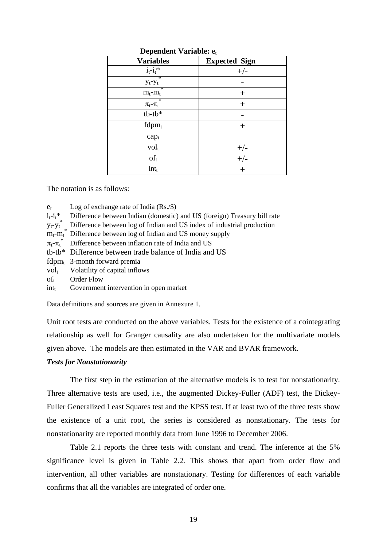| $D$ C $D$ C $D$ C $D$ C $D$ $D$ $D$ $T$ |                      |  |  |
|-----------------------------------------|----------------------|--|--|
| <b>Variables</b>                        | <b>Expected Sign</b> |  |  |
| $i_t - i_t$ *                           | $+/-$                |  |  |
| ÷<br>$y_t - y_t$                        |                      |  |  |
| $\ast$<br>$m_t$ - $m_t$                 | $\pm$                |  |  |
| $\ast$<br>$\pi_t$ - $\pi_t$             | $^{+}$               |  |  |
| $tb$ - $tb*$                            |                      |  |  |
| $fdpm_t$                                | $\pm$                |  |  |
| $cap_t$                                 |                      |  |  |
| $vol_t$                                 |                      |  |  |
| $of_t$                                  | $\frac{+/-}{+/-}$    |  |  |
| $int_t$                                 | $\, +$               |  |  |

**Dependent Variable:** et

The notation is as follows:

 $e_t$  Log of exchange rate of India (Rs./\$)

 $i_t - i_t$ <sup>\*</sup> Difference between Indian (domestic) and US (foreign) Treasury bill rate

 $y_t - y_t^*$ Difference between log of Indian and US index of industrial production

 $m_t$ - $m_t^*$  Difference between log of Indian and US money supply

 $\pi_{t}$ - $\pi_{t}$ Difference between inflation rate of India and US

tb-tb\* Difference between trade balance of India and US

 $fdpm_t$  3-month forward premia

 $vol_t$  Volatility of capital inflows

of<sub>t</sub> Order Flow

 $\text{int}_{t}$  Government intervention in open market

Data definitions and sources are given in Annexure 1.

Unit root tests are conducted on the above variables. Tests for the existence of a cointegrating relationship as well for Granger causality are also undertaken for the multivariate models given above. The models are then estimated in the VAR and BVAR framework.

#### *Tests for Nonstationarity*

The first step in the estimation of the alternative models is to test for nonstationarity. Three alternative tests are used, i.e., the augmented Dickey-Fuller (ADF) test, the Dickey-Fuller Generalized Least Squares test and the KPSS test. If at least two of the three tests show the existence of a unit root, the series is considered as nonstationary. The tests for nonstationarity are reported monthly data from June 1996 to December 2006.

Table 2.1 reports the three tests with constant and trend. The inference at the 5% significance level is given in Table 2.2. This shows that apart from order flow and intervention, all other variables are nonstationary. Testing for differences of each variable confirms that all the variables are integrated of order one.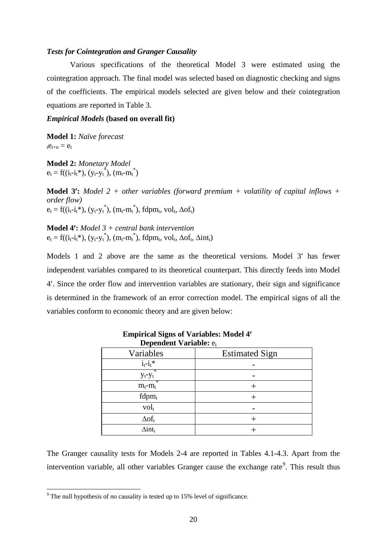#### *Tests for Cointegration and Granger Causality*

Various specifications of the theoretical Model 3 were estimated using the cointegration approach. The final model was selected based on diagnostic checking and signs of the coefficients. The empirical models selected are given below and their cointegration equations are reported in Table 3.

#### *Empirical Models* **(based on overall fit)**

**Model 1:** *Naïve forecast*  $te_{t+n} = e_t$ 

**Model 2:** *Monetary Model*  $e_t = f((i_t - i_t^*), (y_t - y_t^*), (m_t - m_t^*)$ 

**Model 3**′**:** *Model 2 + other variables (forward premium + volatility of capital inflows + order flow)*   $e_t = f((i_t - i_t^*), (y_t - y_t^*), (m_t - m_t^*), fdpm_t, vol_t, \Delta \sigma f_t)$ 

**Model 4**′**:** *Model 3 + central bank intervention*  $e_t = f((i_t-i_t^*), (y_t-y_t^*), (m_t-m_t^*), fdpm_t, vol_t, \Delta of_t, \Delta int_t)$ 

Models 1 and 2 above are the same as the theoretical versions. Model 3′ has fewer independent variables compared to its theoretical counterpart. This directly feeds into Model 4′. Since the order flow and intervention variables are stationary, their sign and significance is determined in the framework of an error correction model. The empirical signs of all the variables conform to economic theory and are given below:

| <b>Dependent Variable: et</b> |                       |  |  |
|-------------------------------|-----------------------|--|--|
| Variables                     | <b>Estimated Sign</b> |  |  |
| $i_t - i_t$ *                 |                       |  |  |
| $\ast$<br>$y_t - y_t$         |                       |  |  |
| $m_t$ - $m_t$                 |                       |  |  |
| $fdpm_t$                      |                       |  |  |
| $vol_t$                       |                       |  |  |
| $\Delta$ of <sub>t</sub>      |                       |  |  |
| $\Delta$ int <sub>t</sub>     |                       |  |  |

**Empirical Signs of Variables: Model 4**′

The Granger causality tests for Models 2-4 are reported in Tables 4.1-4.3. Apart from the intervention variable, all other variables Granger cause the exchange rate<sup>[9](#page-20-0)</sup>. This result thus

<span id="page-20-0"></span><sup>&</sup>lt;sup>9</sup> The null hypothesis of no causality is tested up to 15% level of significance.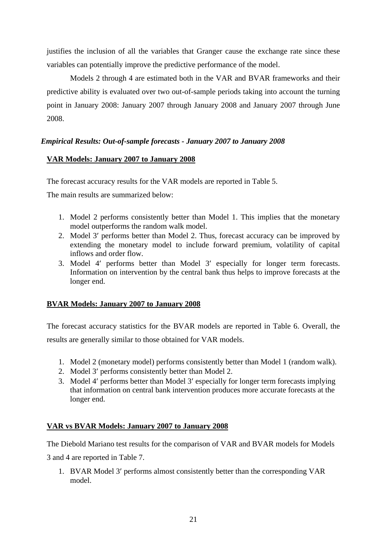justifies the inclusion of all the variables that Granger cause the exchange rate since these variables can potentially improve the predictive performance of the model.

Models 2 through 4 are estimated both in the VAR and BVAR frameworks and their predictive ability is evaluated over two out-of-sample periods taking into account the turning point in January 2008: January 2007 through January 2008 and January 2007 through June 2008.

## *Empirical Results: Out-of-sample forecasts - January 2007 to January 2008*

## **VAR Models: January 2007 to January 2008**

The forecast accuracy results for the VAR models are reported in Table 5.

The main results are summarized below:

- 1. Model 2 performs consistently better than Model 1. This implies that the monetary model outperforms the random walk model.
- 2. Model 3′ performs better than Model 2. Thus, forecast accuracy can be improved by extending the monetary model to include forward premium, volatility of capital inflows and order flow.
- 3. Model 4′ performs better than Model 3′ especially for longer term forecasts. Information on intervention by the central bank thus helps to improve forecasts at the longer end.

## **BVAR Models: January 2007 to January 2008**

The forecast accuracy statistics for the BVAR models are reported in Table 6. Overall, the results are generally similar to those obtained for VAR models.

- 1. Model 2 (monetary model) performs consistently better than Model 1 (random walk).
- 2. Model 3′ performs consistently better than Model 2.
- 3. Model 4′ performs better than Model 3′ especially for longer term forecasts implying that information on central bank intervention produces more accurate forecasts at the longer end.

## **VAR vs BVAR Models: January 2007 to January 2008**

The Diebold Mariano test results for the comparison of VAR and BVAR models for Models

3 and 4 are reported in Table 7.

1. BVAR Model 3′ performs almost consistently better than the corresponding VAR model.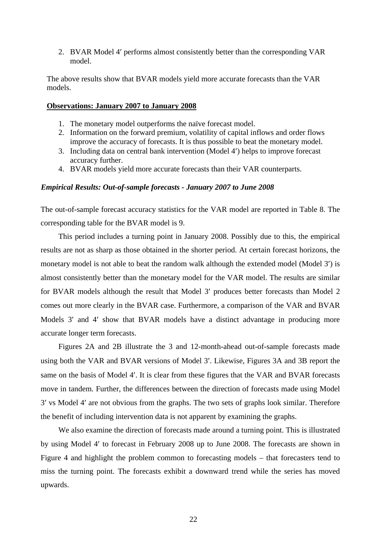2. BVAR Model 4′ performs almost consistently better than the corresponding VAR model.

The above results show that BVAR models yield more accurate forecasts than the VAR models.

#### **Observations: January 2007 to January 2008**

- 1. The monetary model outperforms the naïve forecast model.
- 2. Information on the forward premium, volatility of capital inflows and order flows improve the accuracy of forecasts. It is thus possible to beat the monetary model.
- 3. Including data on central bank intervention (Model 4′) helps to improve forecast accuracy further.
- 4. BVAR models yield more accurate forecasts than their VAR counterparts.

#### *Empirical Results: Out-of-sample forecasts - January 2007 to June 2008*

The out-of-sample forecast accuracy statistics for the VAR model are reported in Table 8. The corresponding table for the BVAR model is 9.

This period includes a turning point in January 2008. Possibly due to this, the empirical results are not as sharp as those obtained in the shorter period. At certain forecast horizons, the monetary model is not able to beat the random walk although the extended model (Model 3′) is almost consistently better than the monetary model for the VAR model. The results are similar for BVAR models although the result that Model 3′ produces better forecasts than Model 2 comes out more clearly in the BVAR case. Furthermore, a comparison of the VAR and BVAR Models 3' and 4' show that BVAR models have a distinct advantage in producing more accurate longer term forecasts.

Figures 2A and 2B illustrate the 3 and 12-month-ahead out-of-sample forecasts made using both the VAR and BVAR versions of Model 3′. Likewise, Figures 3A and 3B report the same on the basis of Model 4′. It is clear from these figures that the VAR and BVAR forecasts move in tandem. Further, the differences between the direction of forecasts made using Model 3′ vs Model 4′ are not obvious from the graphs. The two sets of graphs look similar. Therefore the benefit of including intervention data is not apparent by examining the graphs.

We also examine the direction of forecasts made around a turning point. This is illustrated by using Model 4′ to forecast in February 2008 up to June 2008. The forecasts are shown in Figure 4 and highlight the problem common to forecasting models – that forecasters tend to miss the turning point. The forecasts exhibit a downward trend while the series has moved upwards.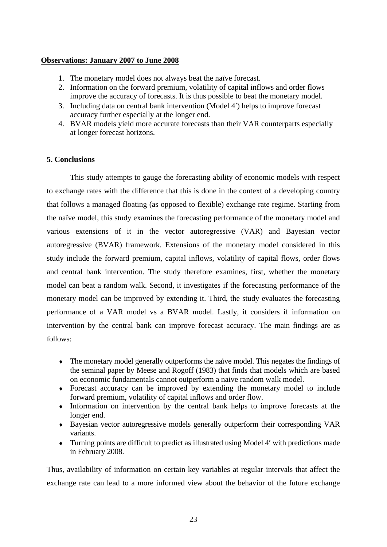#### **Observations: January 2007 to June 2008**

- 1. The monetary model does not always beat the naïve forecast.
- 2. Information on the forward premium, volatility of capital inflows and order flows improve the accuracy of forecasts. It is thus possible to beat the monetary model.
- 3. Including data on central bank intervention (Model 4′) helps to improve forecast accuracy further especially at the longer end.
- 4. BVAR models yield more accurate forecasts than their VAR counterparts especially at longer forecast horizons.

### **5. Conclusions**

This study attempts to gauge the forecasting ability of economic models with respect to exchange rates with the difference that this is done in the context of a developing country that follows a managed floating (as opposed to flexible) exchange rate regime. Starting from the naïve model, this study examines the forecasting performance of the monetary model and various extensions of it in the vector autoregressive (VAR) and Bayesian vector autoregressive (BVAR) framework. Extensions of the monetary model considered in this study include the forward premium, capital inflows, volatility of capital flows, order flows and central bank intervention. The study therefore examines, first, whether the monetary model can beat a random walk. Second, it investigates if the forecasting performance of the monetary model can be improved by extending it. Third, the study evaluates the forecasting performance of a VAR model vs a BVAR model. Lastly, it considers if information on intervention by the central bank can improve forecast accuracy. The main findings are as follows:

- ♦ The monetary model generally outperforms the naïve model. This negates the findings of the seminal paper by Meese and Rogoff (1983) that finds that models which are based on economic fundamentals cannot outperform a naive random walk model.
- ♦ Forecast accuracy can be improved by extending the monetary model to include forward premium, volatility of capital inflows and order flow.
- ♦ Information on intervention by the central bank helps to improve forecasts at the longer end.
- ♦ Bayesian vector autoregressive models generally outperform their corresponding VAR variants.
- ♦ Turning points are difficult to predict as illustrated using Model 4′ with predictions made in February 2008.

Thus, availability of information on certain key variables at regular intervals that affect the exchange rate can lead to a more informed view about the behavior of the future exchange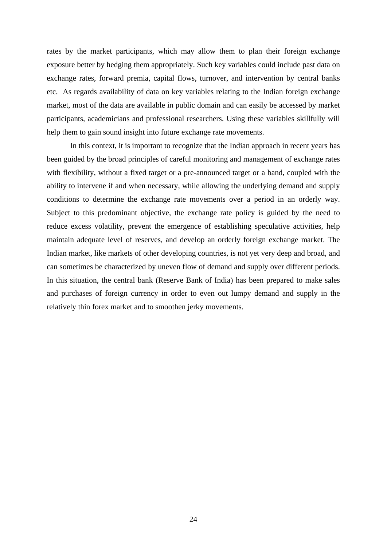rates by the market participants, which may allow them to plan their foreign exchange exposure better by hedging them appropriately. Such key variables could include past data on exchange rates, forward premia, capital flows, turnover, and intervention by central banks etc. As regards availability of data on key variables relating to the Indian foreign exchange market, most of the data are available in public domain and can easily be accessed by market participants, academicians and professional researchers. Using these variables skillfully will help them to gain sound insight into future exchange rate movements.

In this context, it is important to recognize that the Indian approach in recent years has been guided by the broad principles of careful monitoring and management of exchange rates with flexibility, without a fixed target or a pre-announced target or a band, coupled with the ability to intervene if and when necessary, while allowing the underlying demand and supply conditions to determine the exchange rate movements over a period in an orderly way. Subject to this predominant objective, the exchange rate policy is guided by the need to reduce excess volatility, prevent the emergence of establishing speculative activities, help maintain adequate level of reserves, and develop an orderly foreign exchange market. The Indian market, like markets of other developing countries, is not yet very deep and broad, and can sometimes be characterized by uneven flow of demand and supply over different periods. In this situation, the central bank (Reserve Bank of India) has been prepared to make sales and purchases of foreign currency in order to even out lumpy demand and supply in the relatively thin forex market and to smoothen jerky movements.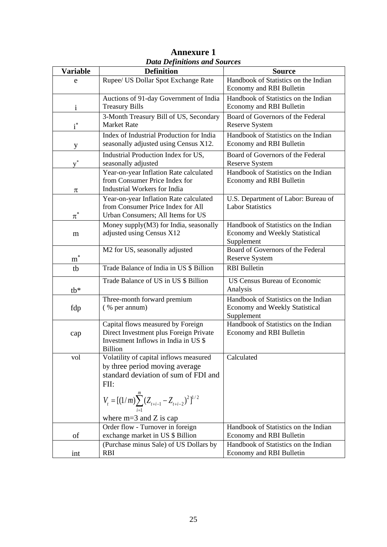| <b>Variable</b> | Duiu Definitions unu bources<br><b>Definition</b>             | <b>Source</b>                                                  |
|-----------------|---------------------------------------------------------------|----------------------------------------------------------------|
|                 | Rupee/ US Dollar Spot Exchange Rate                           | Handbook of Statistics on the Indian                           |
| e               |                                                               | Economy and RBI Bulletin                                       |
|                 |                                                               |                                                                |
|                 | Auctions of 91-day Government of India                        | Handbook of Statistics on the Indian                           |
| $\mathbf{i}$    | <b>Treasury Bills</b>                                         | Economy and RBI Bulletin                                       |
|                 | 3-Month Treasury Bill of US, Secondary                        | Board of Governors of the Federal                              |
| $i^*$           | <b>Market Rate</b>                                            | <b>Reserve System</b>                                          |
|                 | Index of Industrial Production for India                      | Handbook of Statistics on the Indian                           |
| y               | seasonally adjusted using Census X12.                         | Economy and RBI Bulletin                                       |
|                 | Industrial Production Index for US,                           | Board of Governors of the Federal                              |
| $v^*$           | seasonally adjusted                                           | Reserve System                                                 |
|                 | Year-on-year Inflation Rate calculated                        | Handbook of Statistics on the Indian                           |
|                 | from Consumer Price Index for                                 | Economy and RBI Bulletin                                       |
|                 | Industrial Workers for India                                  |                                                                |
| $\pi$           |                                                               |                                                                |
|                 | Year-on-year Inflation Rate calculated                        | U.S. Department of Labor: Bureau of<br><b>Labor Statistics</b> |
|                 | from Consumer Price Index for All                             |                                                                |
| $\pi^*$         | Urban Consumers; All Items for US                             |                                                                |
|                 | Money supply(M3) for India, seasonally                        | Handbook of Statistics on the Indian                           |
| m               | adjusted using Census X12                                     | <b>Economy and Weekly Statistical</b>                          |
|                 |                                                               | Supplement                                                     |
|                 | M2 for US, seasonally adjusted                                | Board of Governors of the Federal                              |
| $m^*$           |                                                               | <b>Reserve System</b>                                          |
| tb              | Trade Balance of India in US \$ Billion                       | <b>RBI</b> Bulletin                                            |
|                 | Trade Balance of US in US \$ Billion                          | <b>US Census Bureau of Economic</b>                            |
| $tb*$           |                                                               | Analysis                                                       |
|                 | Three-month forward premium                                   | Handbook of Statistics on the Indian                           |
| fdp             | (% per annum)                                                 | <b>Economy and Weekly Statistical</b>                          |
|                 |                                                               | Supplement                                                     |
|                 | Capital flows measured by Foreign                             | Handbook of Statistics on the Indian                           |
| cap             | Direct Investment plus Foreign Private                        | Economy and RBI Bulletin                                       |
|                 | Investment Inflows in India in US \$                          |                                                                |
|                 | <b>Billion</b>                                                |                                                                |
| vol             | Volatility of capital inflows measured                        | Calculated                                                     |
|                 | by three period moving average                                |                                                                |
|                 | standard deviation of sum of FDI and                          |                                                                |
|                 | FII:                                                          |                                                                |
|                 |                                                               |                                                                |
|                 | $V_t = [(1/m)\sum_{i=1}^{m} (Z_{t+i-1} - Z_{t+i-2})^2]^{1/2}$ |                                                                |
|                 |                                                               |                                                                |
|                 | where $m=3$ and Z is cap                                      |                                                                |
|                 | Order flow - Turnover in foreign                              | Handbook of Statistics on the Indian                           |
| of              | exchange market in US \$ Billion                              | Economy and RBI Bulletin                                       |
|                 | (Purchase minus Sale) of US Dollars by                        | Handbook of Statistics on the Indian                           |
| int             | <b>RBI</b>                                                    | Economy and RBI Bulletin                                       |

| <b>Annexure 1</b>                   |  |  |  |
|-------------------------------------|--|--|--|
| <b>Data Definitions and Sources</b> |  |  |  |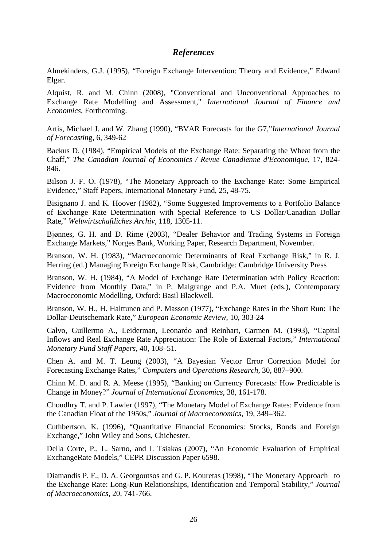## *References*

Almekinders, G.J. (1995), "Foreign Exchange Intervention: Theory and Evidence," Edward Elgar.

Alquist, R. and M. Chinn (2008), "Conventional and Unconventional Approaches to Exchange Rate Modelling and Assessment," *International Journal of Finance and Economics*, Forthcoming.

Artis, Michael J. and W. Zhang (1990), "BVAR Forecasts for the G7,"*International Journal of Forecastin*g, 6, 349-62

Backus D. (1984), "Empirical Models of the Exchange Rate: Separating the Wheat from the Chaff," *The Canadian Journal of Economics / Revue Canadienne d'Economique*, 17, 824- 846.

Bilson J. F. O. (1978), "The Monetary Approach to the Exchange Rate: Some Empirical Evidence," Staff Papers, International Monetary Fund, 25, 48-75.

Bisignano J. and K. Hoover (1982), "Some Suggested Improvements to a Portfolio Balance of Exchange Rate Determination with Special Reference to US Dollar/Canadian Dollar Rate," *Weltwirtschaftliches Archiv,* 118, 1305-11.

Bjønnes, G. H. and D. Rime (2003), "Dealer Behavior and Trading Systems in Foreign Exchange Markets," Norges Bank, Working Paper, Research Department, November.

Branson, W. H. (1983), "Macroeconomic Determinants of Real Exchange Risk," in R. J. Herring (ed.) Managing Foreign Exchange Risk, Cambridge: Cambridge University Press

Branson, W. H. (1984), "A Model of Exchange Rate Determination with Policy Reaction: Evidence from Monthly Data," in P. Malgrange and P.A. Muet (eds.), Contemporary Macroeconomic Modelling, Oxford: Basil Blackwell.

Branson, W. H., H. Halttunen and P. Masson (1977), "Exchange Rates in the Short Run: The Dollar-Deutschemark Rate," *European Economic Review*, 10, 303-24

Calvo, Guillermo A., Leiderman, Leonardo and Reinhart, Carmen M. (1993), "Capital Inflows and Real Exchange Rate Appreciation: The Role of External Factors," *International Monetary Fund Staff Papers,* 40, 108–51.

Chen A. and M. T. Leung (2003), "A Bayesian Vector Error Correction Model for Forecasting Exchange Rates," *Computers and Operations Research*, 30, 887–900.

Chinn M. D. and R. A. Meese (1995), "Banking on Currency Forecasts: How Predictable is Change in Money?" *Journal of International Economics*, 38, 161-178.

Choudhry T. and P. Lawler (1997), "The Monetary Model of Exchange Rates: Evidence from the Canadian Float of the 1950s," *Journal of Macroeconomics,* 19, 349–362.

Cuthbertson, K. (1996), "Quantitative Financial Economics: Stocks, Bonds and Foreign Exchange," John Wiley and Sons, Chichester.

Della Corte, P., L. Sarno, and I. Tsiakas (2007), "An Economic Evaluation of Empirical ExchangeRate Models," CEPR Discussion Paper 6598.

Diamandis P. F., D. A. Georgoutsos and G. P. Kouretas (1998), "The Monetary Approach to the Exchange Rate: Long-Run Relationships, Identification and Temporal Stability," *Journal of Macroeconomics,* 20, 741-766.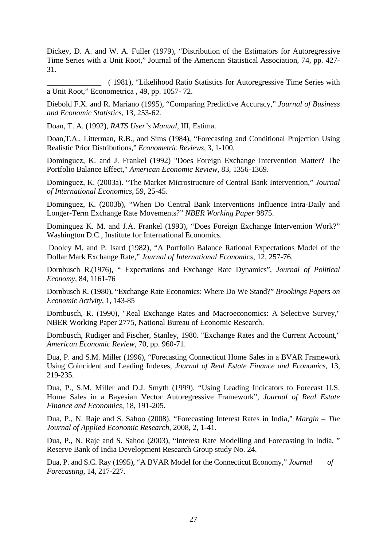Dickey, D. A. and W. A. Fuller (1979), "Distribution of the Estimators for Autoregressive Time Series with a Unit Root," Journal of the American Statistical Association, 74, pp. 427- 31.

\_\_\_\_\_\_\_\_\_\_\_\_\_\_ ( 1981), "Likelihood Ratio Statistics for Autoregressive Time Series with a Unit Root," Econometrica , 49, pp. 1057- 72.

Diebold F.X. and R. Mariano (1995), "Comparing Predictive Accuracy," *Journal of Business and Economic Statistics,* 13, 253-62.

Doan, T. A. (1992), *RATS User's Manual*, III, Estima.

Doan,T.A., Litterman, R.B., and Sims (1984), "Forecasting and Conditional Projection Using Realistic Prior Distributions," *Econometric Reviews*, 3, 1-100.

Dominguez, K. and J. Frankel (1992) "Does Foreign Exchange Intervention Matter? The Portfolio Balance Effect," *American Economic Review*, 83, 1356-1369.

Dominguez, K. (2003a). "The Market Microstructure of Central Bank Intervention," *Journal of International Economics*, 59, 25-45.

Dominguez, K. (2003b), "When Do Central Bank Interventions Influence Intra-Daily and Longer-Term Exchange Rate Movements?" *NBER Working Paper* 9875.

Dominguez K. M. and J.A. Frankel (1993), "Does Foreign Exchange Intervention Work?" Washington D.C., Institute for International Economics.

Dooley M. and P. Isard (1982), "A Portfolio Balance Rational Expectations Model of the Dollar Mark Exchange Rate," *Journal of International Economics*, 12, 257-76.

Dornbusch R.(1976), " Expectations and Exchange Rate Dynamics", *Journal of Political Economy,* 84, 1161-76

Dornbusch R. (1980), "Exchange Rate Economics: Where Do We Stand?" *Brookings Papers on Economic Activity*, 1, 143-85

Dornbusch, R. (1990), ["Real Exchange Rates and Macroeconomics: A Selective Survey,](http://ideas.repec.org/p/nbr/nberwo/2775.html)" [NBER Working Paper](http://ideas.repec.org/s/nbr/nberwo.html) 2775, National Bureau of Economic Research.

Dornbusch, Rudiger and Fischer, Stanley, 1980. ["Exchange Rates and the Current Account,](http://ideas.repec.org/a/aea/aecrev/v70y1980i5p960-71.html)" *[American Economic Review](http://ideas.repec.org/s/aea/aecrev.html)*, 70, pp. 960-71.

Dua, P. and S.M. Miller (1996), "Forecasting Connecticut Home Sales in a BVAR Framework Using Coincident and Leading Indexes, *Journal of Real Estate Finance and Economics*, 13, 219-235.

Dua, P., S.M. Miller and D.J. Smyth (1999), "Using Leading Indicators to Forecast U.S. Home Sales in a Bayesian Vector Autoregressive Framework", *Journal of Real Estate Finance and Economics,* 18, 191-205.

Dua, P., N. Raje and S. Sahoo (2008), "Forecasting Interest Rates in India," *Margin – The Journal of Applied Economic Research*, 2008, 2, 1-41.

Dua, P., N. Raje and S. Sahoo (2003), "Interest Rate Modelling and Forecasting in India, " Reserve Bank of India Development Research Group study No. 24.

Dua, P. and S.C. Ray (1995), "A BVAR Model for the Connecticut Economy," *Journal of Forecasting*, 14, 217-227.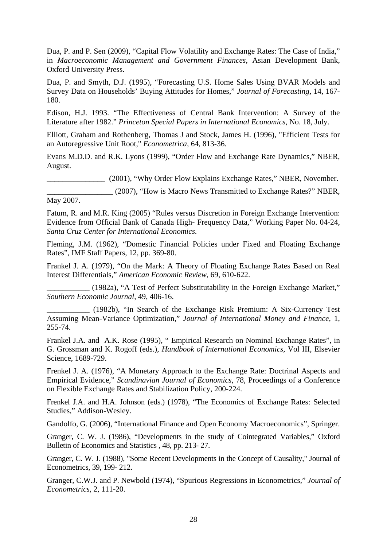Dua, P. and P. Sen (2009), "Capital Flow Volatility and Exchange Rates: The Case of India," in *Macroeconomic Management and Government Finances*, Asian Development Bank, Oxford University Press.

Dua, P. and Smyth, D.J. (1995), "Forecasting U.S. Home Sales Using BVAR Models and Survey Data on Households' Buying Attitudes for Homes," *Journal of Forecasting,* 14, 167- 180.

Edison, H.J. 1993. "The Effectiveness of Central Bank Intervention: A Survey of the Literature after 1982." *Princeton Special Papers in International Economics*, No. 18, July.

Elliott, Graham and Rothenberg, Thomas J and Stock, James H. (1996), ["Efficient Tests for](http://ideas.repec.org/a/ecm/emetrp/v64y1996i4p813-36.html)  [an Autoregressive Unit Root,](http://ideas.repec.org/a/ecm/emetrp/v64y1996i4p813-36.html)" *[Econometrica,](http://ideas.repec.org/s/ecm/emetrp.html)* 64, 813-36.

Evans M.D.D. and R.K. Lyons (1999), "Order Flow and Exchange Rate Dynamics," NBER, August.

\_\_\_\_\_\_\_\_\_\_\_\_\_\_\_ (2001), "Why Order Flow Explains Exchange Rates," NBER, November.

\_\_\_\_\_\_\_\_\_\_\_\_\_\_\_\_\_ (2007), "How is Macro News Transmitted to Exchange Rates?" NBER, May 2007.

Fatum, R. and M.R. King (2005) "Rules versus Discretion in Foreign Exchange Intervention: Evidence from Official Bank of Canada High- Frequency Data," Working Paper No. 04-24, *Santa Cruz Center for International Economics.*

Fleming, J.M. (1962), "Domestic Financial Policies under Fixed and Floating Exchange Rates", IMF Staff Papers, 12, pp. 369-80.

Frankel J. A. (1979), "On the Mark: A Theory of Floating Exchange Rates Based on Real Interest Differentials," *American Economic Review*, 69, 610-622.

\_\_\_\_\_\_\_\_\_\_\_ (1982a), "A Test of Perfect Substitutability in the Foreign Exchange Market," *Southern Economic Journal,* 49, 406-16.

\_\_\_\_\_\_\_\_\_\_\_ (1982b), "In Search of the Exchange Risk Premium: A Six-Currency Test Assuming Mean-Variance Optimization," *Journal of International Money and Finance,* 1, 255-74.

Frankel J.A. and A.K. Rose (1995), " Empirical Research on Nominal Exchange Rates", in G. Grossman and K. Rogoff (eds.), *Handbook of International Economics*, Vol III, Elsevier Science, 1689-729.

Frenkel J. A. (1976), "A Monetary Approach to the Exchange Rate: Doctrinal Aspects and Empirical Evidence," *Scandinavian Journal of Economics*, 78, Proceedings of a Conference on Flexible Exchange Rates and Stabilization Policy, 200-224.

Frenkel J.A. and H.A. Johnson (eds.) (1978), "The Economics of Exchange Rates: Selected Studies," Addison-Wesley.

Gandolfo, G. (2006), "International Finance and Open Economy Macroeconomics", Springer.

Granger, C. W. J. (1986), "Developments in the study of Cointegrated Variables," Oxford Bulletin of Economics and Statistics , 48, pp. 213- 27.

Granger, C. W. J. (1988), "Some Recent Developments in the Concept of Causality," Journal of Econometrics, 39, 199- 212.

Granger, C.W.J. and P. Newbold (1974), "Spurious Regressions in Econometrics," *Journal of Econometrics,* 2, 111-20.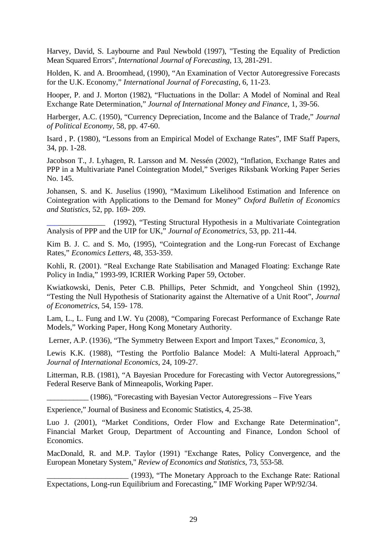Harvey, David, S. Laybourne and Paul Newbold (1997), "Testing the Equality of Prediction Mean Squared Errors", *International Journal of Forecasting*, 13, 281-291.

Holden, K. and A. Broomhead, (1990), "An Examination of Vector Autoregressive Forecasts for the U.K. Economy," *International Journal of Forecasting*, 6, 11-23.

Hooper, P. and J. Morton (1982), "Fluctuations in the Dollar: A Model of Nominal and Real Exchange Rate Determination," *Journal of International Money and Finance*, 1, 39-56.

Harberger, A.C. (1950), "Currency Depreciation, Income and the Balance of Trade," *Journal of Political Economy,* 58, pp. 47-60.

Isard , P. (1980), "Lessons from an Empirical Model of Exchange Rates", IMF Staff Papers, 34, pp. 1-28.

Jacobson T., J. Lyhagen, R. Larsson and M. Nessén (2002), "Inflation, Exchange Rates and PPP in a Multivariate Panel Cointegration Model," Sveriges Riksbank Working Paper Series No. 145.

Johansen, S. and K. Juselius (1990), "Maximum Likelihood Estimation and Inference on Cointegration with Applications to the Demand for Money" *Oxford Bulletin of Economics and Statistics*, 52, pp. 169- 209.

\_\_\_\_\_\_\_\_\_\_\_\_\_\_\_ (1992), "Testing Structural Hypothesis in a Multivariate Cointegration Analysis of PPP and the UIP for UK," *Journal of Econometrics*, 53, pp. 211-44.

Kim B. J. C. and S. Mo, (1995), "Cointegration and the Long-run Forecast of Exchange Rates," *Economics Letters,* 48, 353-359.

Kohli, R. (2001). "Real Exchange Rate Stabilisation and Managed Floating: Exchange Rate Policy in India," 1993-99, ICRIER Working Paper 59, October.

Kwiatkowski, Denis, Peter C.B. Phillips, Peter Schmidt, and Yongcheol Shin (1992), "Testing the Null Hypothesis of Stationarity against the Alternative of a Unit Root", *Journal of Econometrics*, 54, 159- 178.

Lam, L., L. Fung and I.W. Yu (2008), "Comparing Forecast Performance of Exchange Rate Models," Working Paper, Hong Kong Monetary Authority.

Lerner, A.P. (1936), "The Symmetry Between Export and Import Taxes," *Economica*, 3,

Lewis K.K. (1988), "Testing the Portfolio Balance Model: A Multi-lateral Approach," *Journal of International Economics*, 24, 109-27.

Litterman, R.B. (1981), "A Bayesian Procedure for Forecasting with Vector Autoregressions," Federal Reserve Bank of Minneapolis, Working Paper.

\_\_\_\_\_\_\_\_\_\_\_ (1986), "Forecasting with Bayesian Vector Autoregressions – Five Years

Experience," Journal of Business and Economic Statistics, 4, 25-38.

Luo J. (2001), "Market Conditions, Order Flow and Exchange Rate Determination", Financial Market Group, Department of Accounting and Finance, London School of Economics.

MacDonald, R. and M.P. Taylor (1991) ["Exchange Rates, Policy Convergence, and the](http://ideas.repec.org/a/tpr/restat/v73y1991i3p553-58.html)  [European Monetary System,](http://ideas.repec.org/a/tpr/restat/v73y1991i3p553-58.html)" *[Review of Economics and Statistics](http://ideas.repec.org/s/tpr/restat.html)*, 73, 553-58.

\_\_\_\_\_\_\_\_\_\_\_\_\_\_\_\_\_\_\_\_\_ (1993), "The Monetary Approach to the Exchange Rate: Rational Expectations, Long-run Equilibrium and Forecasting," IMF Working Paper WP/92/34.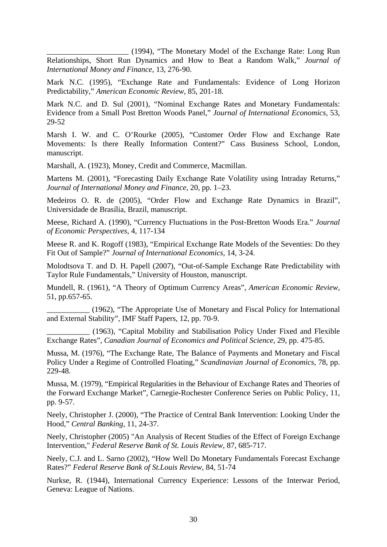\_\_\_\_\_\_\_\_\_\_\_\_\_\_\_\_\_\_\_\_\_ (1994), "The Monetary Model of the Exchange Rate: Long Run Relationships, Short Run Dynamics and How to Beat a Random Walk," *Journal of International Money and Finance*, 13, 276-90.

Mark N.C. (1995), "Exchange Rate and Fundamentals: Evidence of Long Horizon Predictability," *American Economic Review*, 85, 201-18.

Mark N.C. and D. Sul (2001), "Nominal Exchange Rates and Monetary Fundamentals: Evidence from a Small Post Bretton Woods Panel," *Journal of International Economics,* 53, 29-52

Marsh I. W. and C. O'Rourke (2005), "Customer Order Flow and Exchange Rate Movements: Is there Really Information Content?" Cass Business School, London, manuscript.

Marshall, A. (1923), Money, Credit and Commerce, Macmillan.

Martens M. (2001), "Forecasting Daily Exchange Rate Volatility using Intraday Returns," *Journal of International Money and Finance,* 20, pp. 1–23.

Medeiros O. R. de (2005), "Order Flow and Exchange Rate Dynamics in Brazil", Universidade de Brasília, Brazil, manuscript.

Meese, Richard A. (1990), "Currency Fluctuations in the Post-Bretton Woods Era." *Journal of Economic Perspectives,* 4, 117-134

Meese R. and K. Rogoff (1983), "Empirical Exchange Rate Models of the Seventies: Do they Fit Out of Sample?" *Journal of International Economics*, 14, 3-24.

Molodtsova T. and D. H. Papell (2007), "Out-of-Sample Exchange Rate Predictability with Taylor Rule Fundamentals," University of Houston, manuscript.

Mundell, R. (1961), "A Theory of Optimum Currency Areas", *American Economic Review,*  51, pp.657-65.

\_\_\_\_\_\_\_\_\_\_\_ (1962), "The Appropriate Use of Monetary and Fiscal Policy for International and External Stability", IMF Staff Papers, 12, pp. 70-9.

\_\_\_\_\_\_\_\_\_\_\_ (1963), "Capital Mobility and Stabilisation Policy Under Fixed and Flexible Exchange Rates", *Canadian Journal of Economics and Political Science,* 29, pp. 475-85.

Mussa, M. (1976), "The Exchange Rate, The Balance of Payments and Monetary and Fiscal Policy Under a Regime of Controlled Floating," *Scandinavian Journal of Economics*, 78, pp. 229-48.

Mussa, M. (1979), "Empirical Regularities in the Behaviour of Exchange Rates and Theories of the Forward Exchange Market", Carnegie-Rochester Conference Series on Public Policy, 11, pp. 9-57.

Neely, Christopher J. (2000), "The Practice of Central Bank Intervention: Looking Under the Hood," *Central Banking*, 11, 24-37.

Neely, Christopher (2005) "An Analysis of Recent Studies of the Effect of Foreign Exchange Intervention," *Federal Reserve Bank of St. Louis Review,* 87, 685-717.

Neely, C.J. and L. Sarno (2002), "How Well Do Monetary Fundamentals Forecast Exchange Rates?" *Federal Reserve Bank of St.Louis Review*, 84, 51-74

Nurkse, R. (1944), International Currency Experience: Lessons of the Interwar Period, Geneva: League of Nations.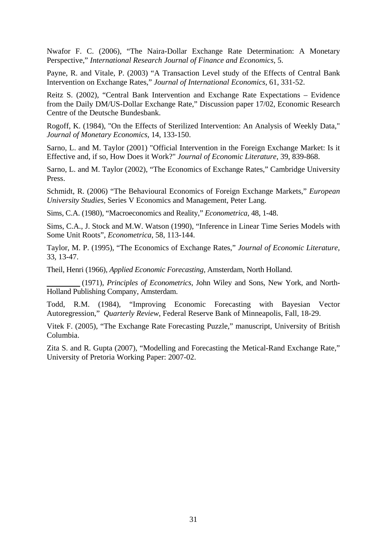Nwafor F. C. (2006), "The Naira-Dollar Exchange Rate Determination: A Monetary Perspective," *International Research Journal of Finance and Economics*, 5.

Payne, R. and Vitale, P. (2003) "A Transaction Level study of the Effects of Central Bank Intervention on Exchange Rates," *Journal of International Economics*, 61, 331-52.

Reitz S. (2002), "Central Bank Intervention and Exchange Rate Expectations – Evidence from the Daily DM/US-Dollar Exchange Rate," Discussion paper 17/02, Economic Research Centre of the Deutsche Bundesbank.

Rogoff, K. (1984), "On the Effects of Sterilized Intervention: An Analysis of Weekly Data," *Journal of Monetary Economics*, 14, 133-150.

Sarno, L. and M. Taylor (2001) "Official Intervention in the Foreign Exchange Market: Is it Effective and, if so, How Does it Work?" *Journal of Economic Literature*, 39, 839-868.

Sarno, L. and M. Taylor (2002), "The Economics of Exchange Rates," Cambridge University Press.

Schmidt, R. (2006) "The Behavioural Economics of Foreign Exchange Markets," *European University Studies,* Series V Economics and Management, Peter Lang.

Sims, C.A. (1980), "Macroeconomics and Reality," *Econometrica,* 48, 1-48.

Sims, C.A., J. Stock and M.W. Watson (1990), "Inference in Linear Time Series Models with Some Unit Roots", *Econometrica*, 58, 113-144.

Taylor, M. P. (1995), "The Economics of Exchange Rates," *Journal of Economic Literature,*  33, 13-47.

Theil, Henri (1966), *Applied Economic Forecasting,* Amsterdam, North Holland.

 (1971), *Principles of Econometrics*, John Wiley and Sons, New York, and North-Holland Publishing Company, Amsterdam.

Todd, R.M. (1984), "Improving Economic Forecasting with Bayesian Vector Autoregression," *Quarterly Review*, Federal Reserve Bank of Minneapolis, Fall, 18-29.

Vitek F. (2005), "The Exchange Rate Forecasting Puzzle," manuscript, University of British Columbia.

Zita S. and R. Gupta (2007), "Modelling and Forecasting the Metical-Rand Exchange Rate," University of Pretoria Working Paper: 2007-02.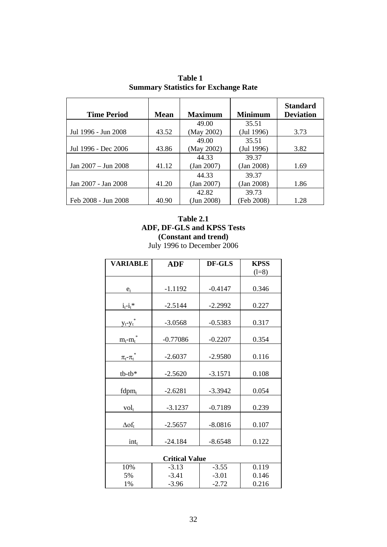| <b>Time Period</b>      | <b>Mean</b> | <b>Maximum</b> | <b>Minimum</b>   | <b>Standard</b><br><b>Deviation</b> |
|-------------------------|-------------|----------------|------------------|-------------------------------------|
|                         |             | 49.00          | 35.51            |                                     |
| Jul 1996 - Jun 2008     | 43.52       | (May 2002)     | $($ Jul 1996 $)$ | 3.73                                |
|                         |             | 49.00          | 35.51            |                                     |
| Jul 1996 - Dec 2006     | 43.86       | (May 2002)     | $($ Jul 1996 $)$ | 3.82                                |
|                         |             | 44.33          | 39.37            |                                     |
| Jan $2007 -$ Jun $2008$ | 41.12       | (Jan 2007)     | $(Jan\ 2008)$    | 1.69                                |
|                         |             | 44.33          | 39.37            |                                     |
| Jan 2007 - Jan 2008     | 41.20       | (Jan 2007)     | (Jan 2008)       | 1.86                                |
|                         |             | 42.82          | 39.73            |                                     |
| Feb 2008 - Jun 2008     | 40.90       | (Jun 2008)     | (Feb 2008)       | 1.28                                |

**Table 1 Summary Statistics for Exchange Rate**

## **Table 2.1 ADF, DF-GLS and KPSS Tests (Constant and trend)** July 1996 to December 2006

| <b>VARIABLE</b>             | <b>ADF</b> | DF-GLS    | <b>KPSS</b> |
|-----------------------------|------------|-----------|-------------|
|                             |            |           | $(l=8)$     |
|                             |            |           |             |
| $e_t$                       | $-1.1192$  | $-0.4147$ | 0.346       |
|                             |            | $-2.2992$ | 0.227       |
| $i_t - i_t$ *               | $-2.5144$  |           |             |
| $y_t - y_t$                 | $-3.0568$  | $-0.5383$ | 0.317       |
| $m_t$ - $m_t$               | $-0.77086$ | $-0.2207$ | 0.354       |
| $\frac{\pi_t - \pi_t}{\pi}$ | $-2.6037$  | $-2.9580$ | 0.116       |
| $tb$ - $tb*$                | $-2.5620$  | $-3.1571$ | 0.108       |
| $fdpm_t$                    | $-2.6281$  | $-3.3942$ | 0.054       |
| $vol_t$                     | $-3.1237$  | $-0.7189$ | 0.239       |
| $\Delta$ of <sub>t</sub>    | $-2.5657$  | $-8.0816$ | 0.107       |
| $int_{t}$                   | $-24.184$  | $-8.6548$ | 0.122       |
| <b>Critical Value</b>       |            |           |             |
| 10%                         | $-3.13$    | $-3.55$   | 0.119       |
| 5%                          | $-3.41$    | $-3.01$   | 0.146       |
| 1%                          | $-3.96$    | $-2.72$   | 0.216       |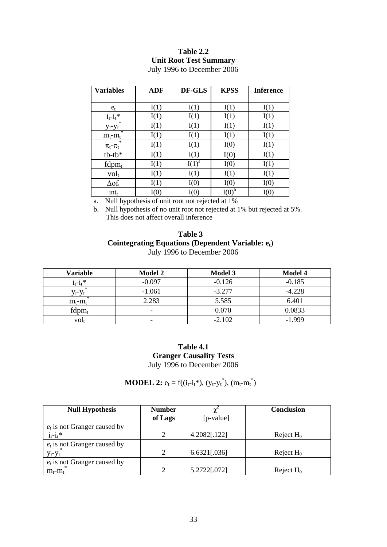## **Table 2.2 Unit Root Test Summary**

| <b>Variables</b>           | <b>ADF</b> | DF-GLS   | <b>KPSS</b> | <b>Inference</b> |
|----------------------------|------------|----------|-------------|------------------|
|                            |            |          |             |                  |
| $e_t$                      | I(1)       | I(1)     | I(1)        | I(1)             |
| $i_t - i_t$ *              | I(1)       | I(1)     | I(1)        | I(1)             |
| $y_t - y_t$                | I(1)       | I(1)     | I(1)        | I(1)             |
| $m_t$ - $m_t$              | I(1)       | I(1)     | I(1)        | I(1)             |
| 冰<br>$\pi_{t}$ - $\pi_{t}$ | I(1)       | I(1)     | I(0)        | I(1)             |
| $tb$ - $tb*$               | I(1)       | I(1)     | I(0)        | I(1)             |
| $fdpm_t$                   | I(1)       | $I(1)^a$ | I(0)        | I(1)             |
| $vol_t$                    | I(1)       | I(1)     | I(1)        | I(1)             |
| $\Delta$ of $_{\rm t}$     | I(1)       | I(0)     | I(0)        | I(0)             |
| $int_{t}$                  | I(0)       | I(0)     | I(0)        | I(0)             |

July 1996 to December 2006

a. Null hypothesis of unit root not rejected at 1%

b. Null hypothesis of no unit root not rejected at 1% but rejected at 5%. This does not affect overall inference

### **Table 3 Cointegrating Equations (Dependent Variable: et**) July 1996 to December 2006

| Variable         | <b>Model 2</b>           | <b>Model 3</b> | <b>Model 4</b> |
|------------------|--------------------------|----------------|----------------|
| $1_t - i_t$ *    | $-0.097$                 | $-0.126$       | $-0.185$       |
|                  | $-1.061$                 | $-3.277$       | $-4.228$       |
| $m_t-m_t$        | 2.283                    | 5.585          | 6.401          |
| $fdpm_t$         | $\overline{\phantom{0}}$ | 0.070          | 0.0833         |
| VOI <sub>t</sub> | -                        | $-2.102$       | $-1.999$       |

**Table 4.1 Granger Causality Tests** July 1996 to December 2006

## **MODEL 2:**  $e_t = f((i_t - i_t^*), (y_t - y_t^*), (m_t - m_t^*)$

| <b>Null Hypothesis</b>         | <b>Number</b> |              | <b>Conclusion</b> |
|--------------------------------|---------------|--------------|-------------------|
|                                | of Lags       | $[p-value]$  |                   |
| $e_t$ is not Granger caused by |               |              |                   |
| $i_t - i_t$ *                  |               | 4.2082[.122] | Reject $H_0$      |
| $e_t$ is not Granger caused by |               |              |                   |
| $y_t - y_t$                    |               | 6.6321[.036] | Reject $H_0$      |
| $e_t$ is not Granger caused by |               |              |                   |
| $m_t-m_t$                      |               | 5.2722[.072] | Reject $H_0$      |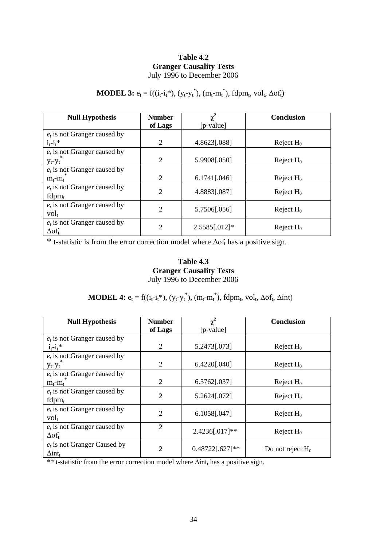## **Table 4.2 Granger Causality Tests** July 1996 to December 2006

## **MODEL 3:**  $e_t = f((i_t - i_t^*), (y_t - y_t^*), (m_t - m_t^*), fdpm_t, vol_t, \Delta \sigma f_t)$

| <b>Null Hypothesis</b>         | <b>Number</b>  | $\chi^2$      | <b>Conclusion</b> |
|--------------------------------|----------------|---------------|-------------------|
|                                | of Lags        | [p-value]     |                   |
| $e_t$ is not Granger caused by |                |               |                   |
| $i_t - i_t$ *                  | 2              | 4.8623[.088]  | Reject $H_0$      |
| $e_t$ is not Granger caused by |                |               |                   |
| $y_t - y_t$                    | $\overline{2}$ | 5.9908[.050]  | Reject $H_0$      |
| $e_t$ is not Granger caused by |                |               |                   |
| $m_t-m_t$                      | $\overline{2}$ | 6.1741[.046]  | Reject $H_0$      |
| $e_t$ is not Granger caused by | $\overline{2}$ | 4.8883[.087]  |                   |
| $fdpm_t$                       |                |               | Reject $H_0$      |
| $e_t$ is not Granger caused by | $\overline{2}$ |               |                   |
| $vol_t$                        |                | 5.7506[.056]  | Reject $H_0$      |
| $e_t$ is not Granger caused by |                |               |                   |
| $\Delta$ of <sub>t</sub>       | $\overline{2}$ | 2.5585[.012]* | Reject $H_0$      |

\* t-statistic is from the error correction model where  $\Delta$ of<sub>t</sub> has a positive sign.

## **Table 4.3 Granger Causality Tests** July 1996 to December 2006

## **MODEL 4:**  $e_t = f((i_t - i_t^*), (y_t - y_t^*), (m_t - m_t^*), fdpm_t, vol_t, \Delta \sigma f_t, \Delta int)$

| <b>Null Hypothesis</b>         | <b>Number</b>  | $\chi^2$          | <b>Conclusion</b>   |
|--------------------------------|----------------|-------------------|---------------------|
|                                | of Lags        | $[p-value]$       |                     |
| $e_t$ is not Granger caused by |                |                   |                     |
| $i_t - i_t$ *                  | $\overline{2}$ | 5.2473[.073]      | Reject $H_0$        |
| $e_t$ is not Granger caused by |                |                   |                     |
| $y_t - y_t$                    | 2              | 6.4220[.040]      | Reject $H_0$        |
| $e_t$ is not Granger caused by |                |                   |                     |
| $m_t - m_t$                    | $\overline{2}$ | 6.5762[.037]      | Reject $H_0$        |
| $e_t$ is not Granger caused by | $\overline{2}$ | 5.2624[.072]      | Reject $H_0$        |
| $fdpm_t$                       |                |                   |                     |
| $e_t$ is not Granger caused by | $\overline{2}$ | 6.1058[.047]      | Reject $H_0$        |
| $vol_t$                        |                |                   |                     |
| $e_t$ is not Granger caused by | $\overline{2}$ |                   |                     |
| $\Delta$ of <sub>t</sub>       |                | 2.4236[.017]**    | Reject $H_0$        |
| $e_t$ is not Granger Caused by | $\overline{2}$ | $0.48722[.627]**$ |                     |
| $\Delta$ int <sub>t</sub>      |                |                   | Do not reject $H_0$ |

\*\* t-statistic from the error correction model where ∆int<sub>t</sub> has a positive sign.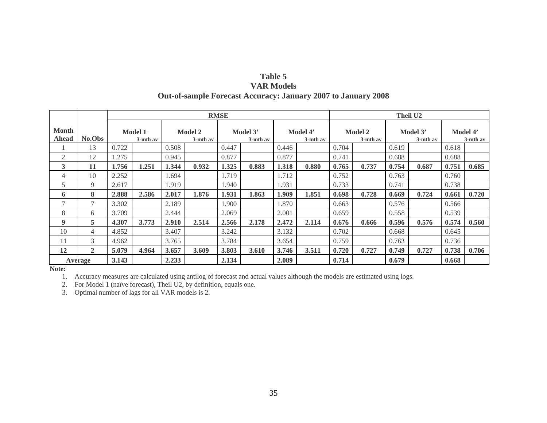| Table 5                                                              |
|----------------------------------------------------------------------|
| <b>VAR Models</b>                                                    |
| <b>Out-of-sample Forecast Accuracy: January 2007 to January 2008</b> |

|                       |                |                                                 |       |             |       | <b>RMSE</b>             | <b>Theil U2</b> |                         |       |                               |                         |       |                         |       |       |
|-----------------------|----------------|-------------------------------------------------|-------|-------------|-------|-------------------------|-----------------|-------------------------|-------|-------------------------------|-------------------------|-------|-------------------------|-------|-------|
| <b>Month</b><br>Ahead | No.Obs         | <b>Model 1</b><br><b>Model 2</b><br>$3-$ mth av |       | $3-$ mth av |       | Model 3'<br>$3-$ mth av |                 | Model 4'<br>$3-$ mth av |       | <b>Model 2</b><br>$3-$ mth av | Model 3'<br>$3-$ mth av |       | Model 4'<br>$3-$ mth av |       |       |
|                       | 13             | 0.722                                           |       | 0.508       |       | 0.447                   |                 | 0.446                   |       | 0.704                         |                         | 0.619 |                         | 0.618 |       |
| 2                     | 12             | .275                                            |       | 0.945       |       | 0.877                   |                 | 0.877                   |       | 0.741                         |                         | 0.688 |                         | 0.688 |       |
| 3                     | 11             | 1.756                                           | 1.251 | 1.344       | 0.932 | 1.325                   | 0.883           | 1.318                   | 0.880 | 0.765                         | 0.737                   | 0.754 | 0.687                   | 0.751 | 0.685 |
| 4                     | 10             | 2.252                                           |       | 1.694       |       | 1.719                   |                 | 1.712                   |       | 0.752                         |                         | 0.763 |                         | 0.760 |       |
| 5                     | 9              | 2.617                                           |       | 1.919       |       | 1.940                   |                 | 1.931                   |       | 0.733                         |                         | 0.741 |                         | 0.738 |       |
| 6                     | 8              | 2.888                                           | 2.586 | 2.017       | 1.876 | 1.931                   | 1.863           | 1.909                   | 1.851 | 0.698                         | 0.728                   | 0.669 | 0.724                   | 0.661 | 0.720 |
| $\mathcal{I}$         |                | 3.302                                           |       | 2.189       |       | 1.900                   |                 | 1.870                   |       | 0.663                         |                         | 0.576 |                         | 0.566 |       |
| 8                     | 6              | 3.709                                           |       | 2.444       |       | 2.069                   |                 | 2.001                   |       | 0.659                         |                         | 0.558 |                         | 0.539 |       |
| $\boldsymbol{9}$      | 5              | 4.307                                           | 3.773 | 2.910       | 2.514 | 2.566                   | 2.178           | 2.472                   | 2.114 | 0.676                         | 0.666                   | 0.596 | 0.576                   | 0.574 | 0.560 |
| 10                    | 4              | 4.852                                           |       | 3.407       |       | 3.242                   |                 | 3.132                   |       | 0.702                         |                         | 0.668 |                         | 0.645 |       |
| 11                    | 3              | 4.962                                           |       | 3.765       |       | 3.784                   |                 | 3.654                   |       | 0.759                         |                         | 0.763 |                         | 0.736 |       |
| 12                    | $\overline{2}$ | 5.079                                           | 4.964 | 3.657       | 3.609 | 3.803                   | 3.610           | 3.746                   | 3.511 | 0.720                         | 0.727                   | 0.749 | 0.727                   | 0.738 | 0.706 |
|                       | Average        | 3.143                                           |       | 2.233       |       | 2.134                   |                 | 2.089                   |       | 0.714                         |                         | 0.679 |                         | 0.668 |       |

**Note:**

1. Accuracy measures are calculated using antilog of forecast and actual values although the models are estimated using logs.

2. For Model 1 (naïve forecast), Theil U2, by definition, equals one.

3. Optimal number of lags for all VAR models is 2.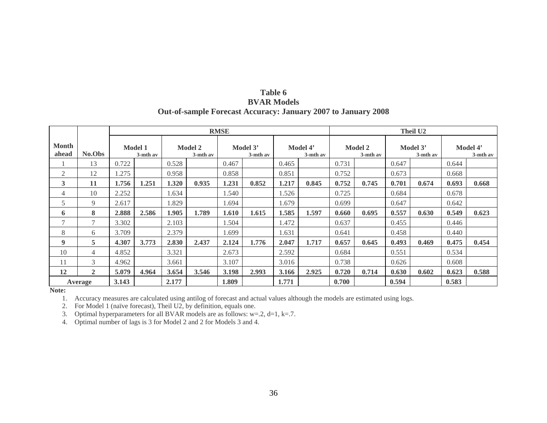| Table 6                                                              |  |
|----------------------------------------------------------------------|--|
| <b>BVAR Models</b>                                                   |  |
| <b>Out-of-sample Forecast Accuracy: January 2007 to January 2008</b> |  |

|                       |               | <b>RMSE</b> |                            |       |                            |       |                                                 |       |                            | Theil U <sub>2</sub> |                      |       |                      |       |       |
|-----------------------|---------------|-------------|----------------------------|-------|----------------------------|-------|-------------------------------------------------|-------|----------------------------|----------------------|----------------------|-------|----------------------|-------|-------|
| <b>Month</b><br>ahead | No.Obs        |             | <b>Model 1</b><br>3-mth av |       | <b>Model 2</b><br>3-mth av |       | Model 3'<br>Model 4'<br>3-mth av<br>$3-$ mth av |       | <b>Model 2</b><br>3-mth av |                      | Model 3'<br>3-mth av |       | Model 4'<br>3-mth av |       |       |
|                       | 13            | 0.722       |                            | 0.528 |                            | 0.467 |                                                 | 0.465 |                            | 0.731                |                      | 0.647 |                      | 0.644 |       |
| $\overline{2}$        | 12            | 1.275       |                            | 0.958 |                            | 0.858 |                                                 | 0.851 |                            | 0.752                |                      | 0.673 |                      | 0.668 |       |
| 3                     | 11            | 1.756       | 1.251                      | 1.320 | 0.935                      | 1.231 | 0.852                                           | 1.217 | 0.845                      | 0.752                | 0.745                | 0.701 | 0.674                | 0.693 | 0.668 |
| 4                     | 10            | 2.252       |                            | 1.634 |                            | 1.540 |                                                 | 1.526 |                            | 0.725                |                      | 0.684 |                      | 0.678 |       |
| 5                     | 9             | 2.617       |                            | 1.829 |                            | 1.694 |                                                 | 1.679 |                            | 0.699                |                      | 0.647 |                      | 0.642 |       |
| 6                     | 8             | 2.888       | 2.586                      | 1.905 | 1.789                      | 1.610 | 1.615                                           | 1.585 | 1.597                      | 0.660                | 0.695                | 0.557 | 0.630                | 0.549 | 0.623 |
| $\tau$                | $\mathcal{I}$ | 3.302       |                            | 2.103 |                            | 1.504 |                                                 | 1.472 |                            | 0.637                |                      | 0.455 |                      | 0.446 |       |
| 8                     | 6             | 3.709       |                            | 2.379 |                            | 1.699 |                                                 | 1.631 |                            | 0.641                |                      | 0.458 |                      | 0.440 |       |
| 9                     | 5             | 4.307       | 3.773                      | 2.830 | 2.437                      | 2.124 | 1.776                                           | 2.047 | 1.717                      | 0.657                | 0.645                | 0.493 | 0.469                | 0.475 | 0.454 |
| 10                    | 4             | 4.852       |                            | 3.321 |                            | 2.673 |                                                 | 2.592 |                            | 0.684                |                      | 0.551 |                      | 0.534 |       |
| 11                    | 3             | 4.962       |                            | 3.661 |                            | 3.107 |                                                 | 3.016 |                            | 0.738                |                      | 0.626 |                      | 0.608 |       |
| 12                    | $\mathbf{2}$  | 5.079       | 4.964                      | 3.654 | 3.546                      | 3.198 | 2.993                                           | 3.166 | 2.925                      | 0.720                | 0.714                | 0.630 | 0.602                | 0.623 | 0.588 |
|                       | Average       | 3.143       |                            | 2.177 |                            | 1.809 |                                                 | 1.771 |                            | 0.700                |                      | 0.594 |                      | 0.583 |       |

**Note:**

1. Accuracy measures are calculated using antilog of forecast and actual values although the models are estimated using logs.

2. For Model 1 (naïve forecast), Theil U2, by definition, equals one.

3. Optimal hyperparameters for all BVAR models are as follows:  $w=2$ ,  $d=1$ ,  $k=7$ .

4. Optimal number of lags is 3 for Model 2 and 2 for Models 3 and 4.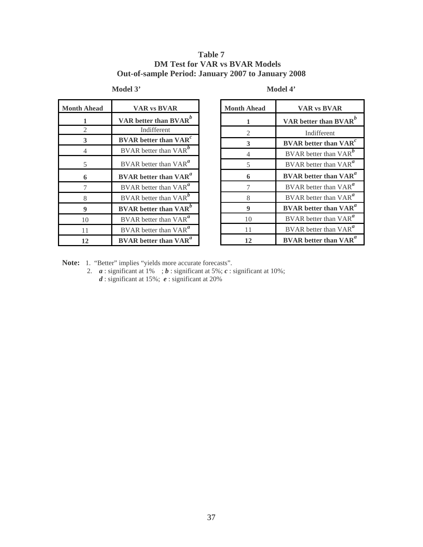### **Table 7 DM Test for VAR vs BVAR Models Out-of-sample Period: January 2007 to January 2008**

| <b>Month Ahead</b> | <b>VAR vs BVAR</b>                       |
|--------------------|------------------------------------------|
| 1                  | VAR better than $BVAR^b$                 |
| $\mathfrak{D}$     | Indifferent                              |
| 3                  | <b>BVAR</b> better than $VARc$           |
| 4                  | BVAR better than VAR <sup>b</sup>        |
| 5                  | BVAR better than $VAR^a$                 |
| 6                  | <b>BVAR</b> better than VAR <sup>a</sup> |
| 7                  | BVAR better than $VARa$                  |
| 8                  | BVAR better than $VAR^b$                 |
| 9                  | <b>BVAR</b> better than VAR <sup>b</sup> |
| 10                 | BVAR better than $VARa$                  |
| 11                 | BVAR better than VAR <sup>a</sup>        |
| 12                 | <b>BVAR</b> better than VAR <sup>a</sup> |

**Month Ahead VAR vs BVAR VAR better than BVAR***<sup>b</sup>* Indifferent **BVAR better than VAR***<sup>c</sup>* 4 BVAR better than VAR<sup>b</sup> BVAR better than VAR*<sup>a</sup>* **BVAR better than VAR***<sup>a</sup>* BVAR better than VAR*<sup>a</sup>* BVAR better than VAR*<sup>a</sup>* **BVAR better than VAR***<sup>a</sup>* 10 BVAR better than VAR<sup>a</sup> 11 BVAR better than VAR<sup>a</sup> **BVAR better than VAR***<sup>a</sup>*

**Model 3' Model 4'**

**Note:** 1. "Better" implies "yields more accurate forecasts".

2. *a* : significant at 1% ; *b* : significant at 5%; *c* : significant at 10%; *d* : significant at 15%; *e* : significant at 20%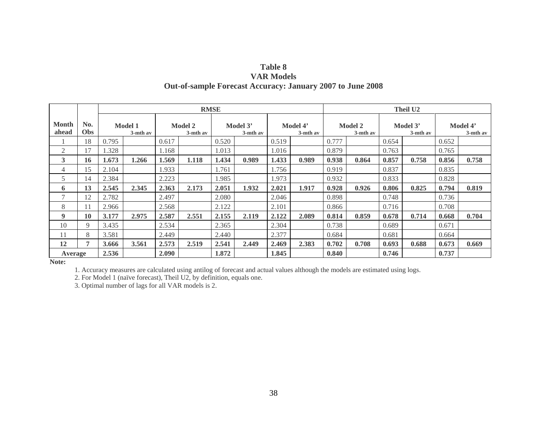| Table 8                                                           |
|-------------------------------------------------------------------|
| <b>VAR Models</b>                                                 |
| <b>Out-of-sample Forecast Accuracy: January 2007 to June 2008</b> |

|                       |                   |       |                               |       |                            | <b>RMSE</b> |                      |                         |       | Theil U <sub>2</sub>          |       |                         |       |       |                      |  |
|-----------------------|-------------------|-------|-------------------------------|-------|----------------------------|-------------|----------------------|-------------------------|-------|-------------------------------|-------|-------------------------|-------|-------|----------------------|--|
| <b>Month</b><br>ahead | No.<br><b>Obs</b> |       | <b>Model 1</b><br>$3-$ mth av |       | <b>Model 2</b><br>3-mth av |             | Model 3'<br>3-mth av | Model 4'<br>$3$ -mth av |       | <b>Model 2</b><br>$3-$ mth av |       | Model 3'<br>$3-$ mth av |       |       | Model 4'<br>3-mth av |  |
|                       | 18                | 0.795 |                               | 0.617 |                            | 0.520       |                      | 0.519                   |       | 0.777                         |       | 0.654                   |       | 0.652 |                      |  |
| $\overline{2}$        | 17                | .328  |                               | 1.168 |                            | 1.013       |                      | 1.016                   |       | 0.879                         |       | 0.763                   |       | 0.765 |                      |  |
| 3                     | 16                | 1.673 | 1.266                         | .569  | 1.118                      | 1.434       | 0.989                | 1.433                   | 0.989 | 0.938                         | 0.864 | 0.857                   | 0.758 | 0.856 | 0.758                |  |
| 4                     | 15                | 2.104 |                               | 1.933 |                            | 1.761       |                      | 1.756                   |       | 0.919                         |       | 0.837                   |       | 0.835 |                      |  |
| 5                     | 14                | 2.384 |                               | 2.223 |                            | 1.985       |                      | 1.973                   |       | 0.932                         |       | 0.833                   |       | 0.828 |                      |  |
| 6                     | 13                | 2.545 | 2.345                         | 2.363 | 2.173                      | 2.051       | 1.932                | 2.021                   | 1.917 | 0.928                         | 0.926 | 0.806                   | 0.825 | 0.794 | 0.819                |  |
| 7                     | 12                | 2.782 |                               | 2.497 |                            | 2.080       |                      | 2.046                   |       | 0.898                         |       | 0.748                   |       | 0.736 |                      |  |
| 8                     | 11                | 2.966 |                               | 2.568 |                            | 2.122       |                      | 2.101                   |       | 0.866                         |       | 0.716                   |       | 0.708 |                      |  |
| 9                     | 10                | 3.177 | 2.975                         | 2.587 | 2.551                      | 2.155       | 2.119                | 2.122                   | 2.089 | 0.814                         | 0.859 | 0.678                   | 0.714 | 0.668 | 0.704                |  |
| 10                    | 9                 | 3.435 |                               | 2.534 |                            | 2.365       |                      | 2.304                   |       | 0.738                         |       | 0.689                   |       | 0.671 |                      |  |
| 11                    | 8                 | 3.581 |                               | 2.449 |                            | 2.440       |                      | 2.377                   |       | 0.684                         |       | 0.681                   |       | 0.664 |                      |  |
| 12                    | 7                 | 3.666 | 3.561                         | 2.573 | 2.519                      | 2.541       | 2.449                | 2.469                   | 2.383 | 0.702                         | 0.708 | 0.693                   | 0.688 | 0.673 | 0.669                |  |
| Average               |                   | 2.536 |                               | 2.090 |                            | 1.872       |                      | 1.845                   |       | 0.840                         |       | 0.746                   |       | 0.737 |                      |  |

**Note:**

1. Accuracy measures are calculated using antilog of forecast and actual values although the models are estimated using logs.

2. For Model 1 (naïve forecast), Theil U2, by definition, equals one.

3. Optimal number of lags for all VAR models is 2.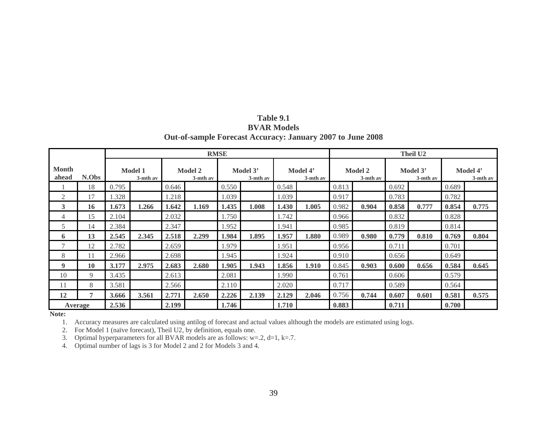| Table 9.1                                                         |
|-------------------------------------------------------------------|
| <b>BVAR Models</b>                                                |
| <b>Out-of-sample Forecast Accuracy: January 2007 to June 2008</b> |

|                       |       |       |                            |       |                            | <b>RMSE</b> |                                              |       |                            | <b>Theil U2</b> |                         |       |                      |       |       |  |
|-----------------------|-------|-------|----------------------------|-------|----------------------------|-------------|----------------------------------------------|-------|----------------------------|-----------------|-------------------------|-------|----------------------|-------|-------|--|
| <b>Month</b><br>ahead | N.Obs |       | <b>Model 1</b><br>3-mth av |       | <b>Model 2</b><br>3-mth av |             | Model 3'<br>Model 4'<br>3-mth av<br>3-mth av |       | <b>Model 2</b><br>3-mth av |                 | Model 3'<br>$3-$ mth av |       | Model 4'<br>3-mth av |       |       |  |
|                       | 18    | 0.795 |                            | 0.646 |                            | 0.550       |                                              | 0.548 |                            | 0.813           |                         | 0.692 |                      | 0.689 |       |  |
| 2                     | 17    | 1.328 |                            | 1.218 |                            | 1.039       |                                              | 1.039 |                            | 0.917           |                         | 0.783 |                      | 0.782 |       |  |
| 3                     | 16    | 1.673 | 1.266                      | 1.642 | 1.169                      | 1.435       | 1.008                                        | 1.430 | 1.005                      | 0.982           | 0.904                   | 0.858 | 0.777                | 0.854 | 0.775 |  |
| 4                     | 15    | 2.104 |                            | 2.032 |                            | 1.750       |                                              | 1.742 |                            | 0.966           |                         | 0.832 |                      | 0.828 |       |  |
| 5                     | 14    | 2.384 |                            | 2.347 |                            | 1.952       |                                              | 1.941 |                            | 0.985           |                         | 0.819 |                      | 0.814 |       |  |
| 6                     | 13    | 2.545 | 2.345                      | 2.518 | 2.299                      | 1.984       | 1.895                                        | 1.957 | 1.880                      | 0.989           | 0.980                   | 0.779 | 0.810                | 0.769 | 0.804 |  |
|                       | 12    | 2.782 |                            | 2.659 |                            | 1.979       |                                              | 1.951 |                            | 0.956           |                         | 0.711 |                      | 0.701 |       |  |
| 8                     | 11    | 2.966 |                            | 2.698 |                            | 1.945       |                                              | 1.924 |                            | 0.910           |                         | 0.656 |                      | 0.649 |       |  |
| 9                     | 10    | 3.177 | 2.975                      | 2.683 | 2.680                      | 1.905       | 1.943                                        | 1.856 | 1.910                      | 0.845           | 0.903                   | 0.600 | 0.656                | 0.584 | 0.645 |  |
| 10                    | 9     | 3.435 |                            | 2.613 |                            | 2.081       |                                              | 1.990 |                            | 0.761           |                         | 0.606 |                      | 0.579 |       |  |
| 11                    | 8     | 3.581 |                            | 2.566 |                            | 2.110       |                                              | 2.020 |                            | 0.717           |                         | 0.589 |                      | 0.564 |       |  |
| 12                    | 7     | 3.666 | 3.561                      | 2.771 | 2.650                      | 2.226       | 2.139                                        | 2.129 | 2.046                      | 0.756           | 0.744                   | 0.607 | 0.601                | 0.581 | 0.575 |  |
| Average               |       | 2.536 |                            | 2.199 |                            | 1.746       |                                              | 1.710 |                            | 0.883           |                         | 0.711 |                      | 0.700 |       |  |

**Note:**

1. Accuracy measures are calculated using antilog of forecast and actual values although the models are estimated using logs.

2. For Model 1 (naïve forecast), Theil U2, by definition, equals one.

3. Optimal hyperparameters for all BVAR models are as follows:  $w=2$ ,  $d=1$ ,  $k=7$ .

4. Optimal number of lags is 3 for Model 2 and 2 for Models 3 and 4.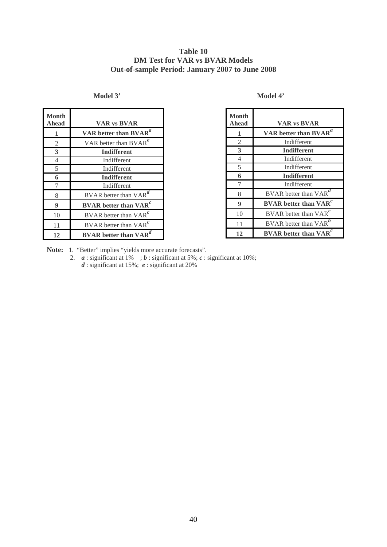## **Table 10 DM Test for VAR vs BVAR Models Out-of-sample Period: January 2007 to June 2008**

#### **Model 3' Model 4'**

| <b>Month</b><br>Ahead | <b>VAR vs BVAR</b>                       |
|-----------------------|------------------------------------------|
| 1                     | VAR better than BVAR <sup>a</sup>        |
| 2                     | VAR better than $BVAR^e$                 |
| 3                     | <b>Indifferent</b>                       |
| $\overline{4}$        | Indifferent                              |
| 5                     | Indifferent                              |
| 6                     | <b>Indifferent</b>                       |
| 7                     | Indifferent                              |
| 8                     | BVAR better than $VAR^d$                 |
| 9                     | <b>BVAR</b> better than VAR <sup>c</sup> |
| 10                    | BVAR better than $VARc$                  |
| 11                    | BVAR better than $VARc$                  |
| 12                    | <b>BVAR</b> better than VAR              |

| L<br>٠ |  |
|--------|--|
|--------|--|

| Month<br>Ahead | <b>VAR vs BVAR</b>                       |
|----------------|------------------------------------------|
| 1              | VAR better than BVAR <sup>a</sup>        |
| 2              | Indifferent                              |
| 3              | <b>Indifferent</b>                       |
| 4              | Indifferent                              |
| 5              | Indifferent                              |
| 6              | <b>Indifferent</b>                       |
|                | Indifferent                              |
| 8              | $BVAR$ better than $VAR^d$               |
| 9              | <b>BVAR</b> better than $VARc$           |
| 10             | BVAR better than $VARc$                  |
| 11             | <b>BVAR</b> better than VAR              |
| 12             | <b>BVAR</b> better than VAR <sup>c</sup> |

Note: 1. "Better" implies "yields more accurate forecasts".

2.  $\boldsymbol{a}$  : significant at 1% ;  $\boldsymbol{b}$  : significant at 5%;  $\boldsymbol{c}$  : significant at 10%; *d* : significant at 15%; *e* : significant at 20%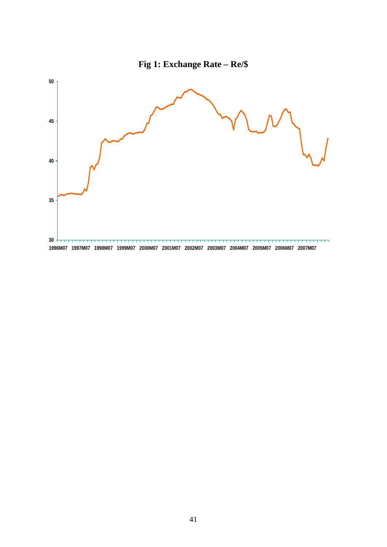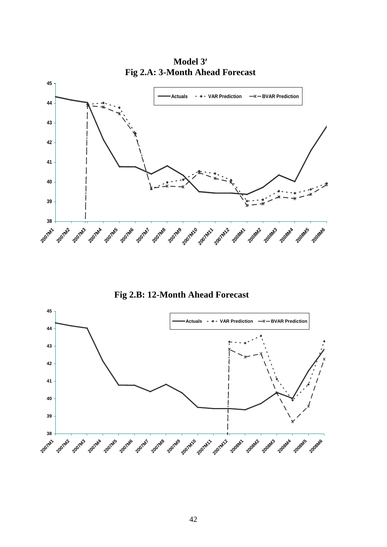

**Model 3**′ **Fig 2.A: 3-Month Ahead Forecast**

**Fig 2.B: 12-Month Ahead Forecast**

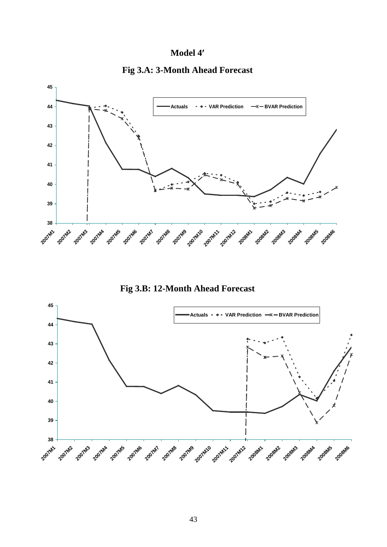## **Model 4**′





**Fig 3.B: 12-Month Ahead Forecast**